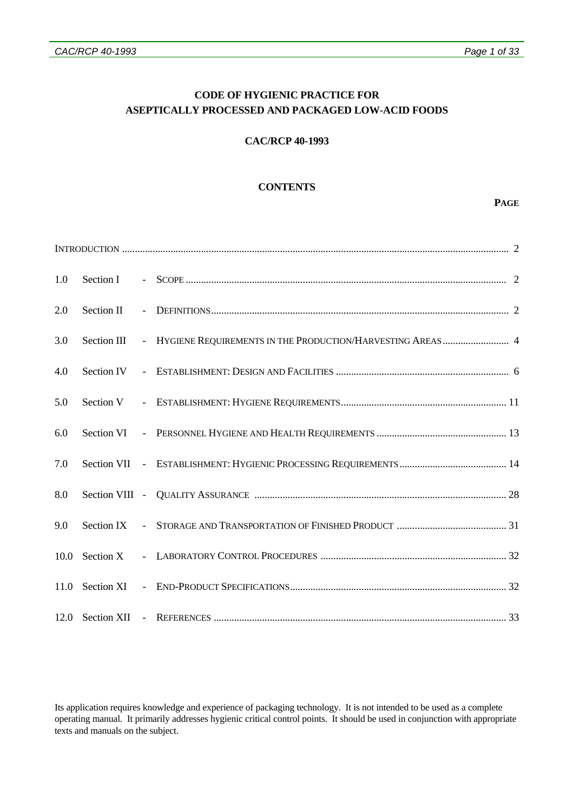# **CODE OF HYGIENIC PRACTICE FOR ASEPTICALLY PROCESSED AND PACKAGED LOW-ACID FOODS**

## **CAC/RCP 40-1993**

## **CONTENTS**

#### **PAGE**

| 1.0 |  |  |                                                                          |  |
|-----|--|--|--------------------------------------------------------------------------|--|
| 2.0 |  |  |                                                                          |  |
| 3.0 |  |  | Section III - HYGIENE REQUIREMENTS IN THE PRODUCTION/HARVESTING AREAS  4 |  |
| 4.0 |  |  |                                                                          |  |
| 5.0 |  |  |                                                                          |  |
| 6.0 |  |  |                                                                          |  |
| 7.0 |  |  |                                                                          |  |
| 8.0 |  |  |                                                                          |  |
| 9.0 |  |  |                                                                          |  |
|     |  |  |                                                                          |  |
|     |  |  |                                                                          |  |
|     |  |  |                                                                          |  |

Its application requires knowledge and experience of packaging technology. It is not intended to be used as a complete operating manual. It primarily addresses hygienic critical control points. It should be used in conjunction with appropriate texts and manuals on the subject.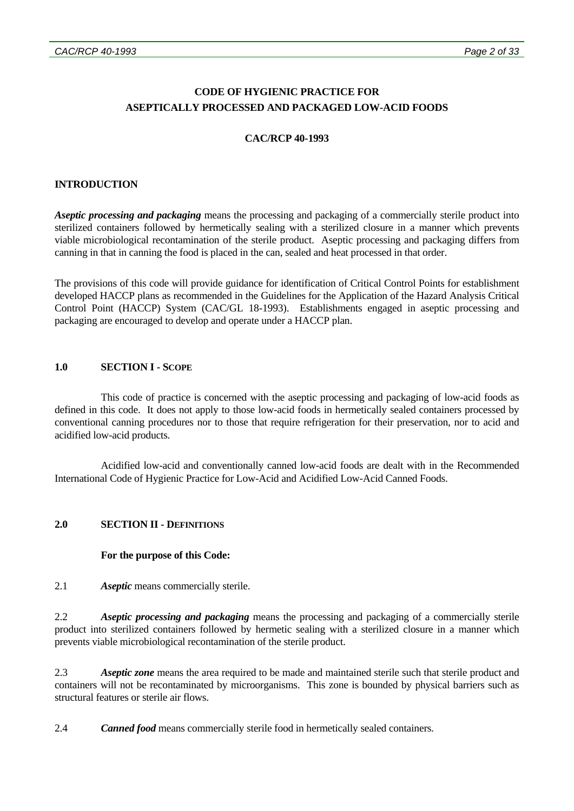# **CODE OF HYGIENIC PRACTICE FOR ASEPTICALLY PROCESSED AND PACKAGED LOW-ACID FOODS**

## **CAC/RCP 40-1993**

## **INTRODUCTION**

*Aseptic processing and packaging* means the processing and packaging of a commercially sterile product into sterilized containers followed by hermetically sealing with a sterilized closure in a manner which prevents viable microbiological recontamination of the sterile product. Aseptic processing and packaging differs from canning in that in canning the food is placed in the can, sealed and heat processed in that order.

The provisions of this code will provide guidance for identification of Critical Control Points for establishment developed HACCP plans as recommended in the Guidelines for the Application of the Hazard Analysis Critical Control Point (HACCP) System (CAC/GL 18-1993). Establishments engaged in aseptic processing and packaging are encouraged to develop and operate under a HACCP plan.

## **1.0 SECTION I - SCOPE**

 This code of practice is concerned with the aseptic processing and packaging of low-acid foods as defined in this code. It does not apply to those low-acid foods in hermetically sealed containers processed by conventional canning procedures nor to those that require refrigeration for their preservation, nor to acid and acidified low-acid products.

 Acidified low-acid and conventionally canned low-acid foods are dealt with in the Recommended International Code of Hygienic Practice for Low-Acid and Acidified Low-Acid Canned Foods.

## **2.0 SECTION II - DEFINITIONS**

## **For the purpose of this Code:**

2.1 *Aseptic* means commercially sterile.

2.2 *Aseptic processing and packaging* means the processing and packaging of a commercially sterile product into sterilized containers followed by hermetic sealing with a sterilized closure in a manner which prevents viable microbiological recontamination of the sterile product.

2.3 *Aseptic zone* means the area required to be made and maintained sterile such that sterile product and containers will not be recontaminated by microorganisms. This zone is bounded by physical barriers such as structural features or sterile air flows.

2.4 *Canned food* means commercially sterile food in hermetically sealed containers.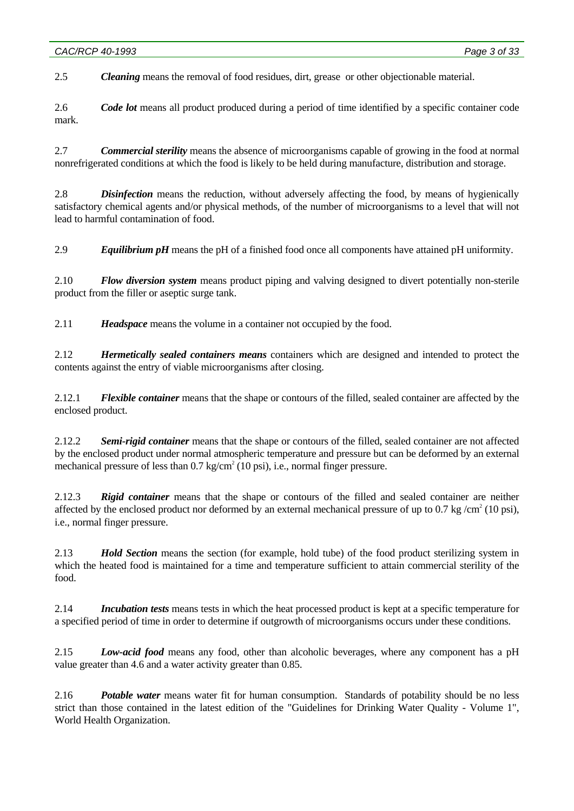2.5 *Cleaning* means the removal of food residues, dirt, grease or other objectionable material.

2.6 *Code lot* means all product produced during a period of time identified by a specific container code mark.

2.7 *Commercial sterility* means the absence of microorganisms capable of growing in the food at normal nonrefrigerated conditions at which the food is likely to be held during manufacture, distribution and storage.

2.8 *Disinfection* means the reduction, without adversely affecting the food, by means of hygienically satisfactory chemical agents and/or physical methods, of the number of microorganisms to a level that will not lead to harmful contamination of food.

2.9 *Equilibrium pH* means the pH of a finished food once all components have attained pH uniformity.

2.10 *Flow diversion system* means product piping and valving designed to divert potentially non-sterile product from the filler or aseptic surge tank.

2.11 *Headspace* means the volume in a container not occupied by the food.

2.12 *Hermetically sealed containers means* containers which are designed and intended to protect the contents against the entry of viable microorganisms after closing.

2.12.1 *Flexible container* means that the shape or contours of the filled, sealed container are affected by the enclosed product.

2.12.2 *Semi-rigid container* means that the shape or contours of the filled, sealed container are not affected by the enclosed product under normal atmospheric temperature and pressure but can be deformed by an external mechanical pressure of less than  $0.7 \text{ kg/cm}^2$  (10 psi), i.e., normal finger pressure.

2.12.3 *Rigid container* means that the shape or contours of the filled and sealed container are neither affected by the enclosed product nor deformed by an external mechanical pressure of up to 0.7 kg/cm<sup>2</sup> (10 psi), i.e., normal finger pressure.

2.13 *Hold Section* means the section (for example, hold tube) of the food product sterilizing system in which the heated food is maintained for a time and temperature sufficient to attain commercial sterility of the food.

2.14 *Incubation tests* means tests in which the heat processed product is kept at a specific temperature for a specified period of time in order to determine if outgrowth of microorganisms occurs under these conditions.

2.15 *Low-acid food* means any food, other than alcoholic beverages, where any component has a pH value greater than 4.6 and a water activity greater than 0.85.

2.16 *Potable water* means water fit for human consumption. Standards of potability should be no less strict than those contained in the latest edition of the "Guidelines for Drinking Water Quality - Volume 1", World Health Organization.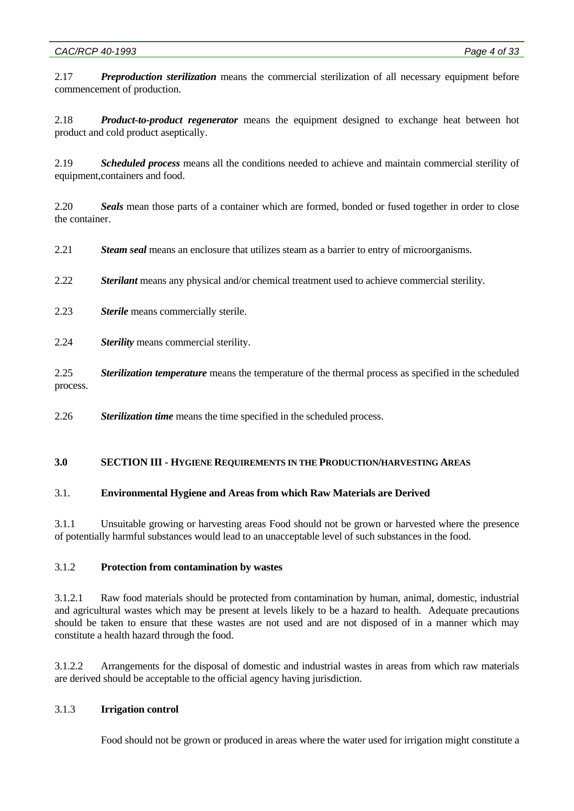2.17 *Preproduction sterilization* means the commercial sterilization of all necessary equipment before commencement of production.

2.18 *Product-to-product regenerator* means the equipment designed to exchange heat between hot product and cold product aseptically.

2.19 *Scheduled process* means all the conditions needed to achieve and maintain commercial sterility of equipment,containers and food.

2.20 *Seals* mean those parts of a container which are formed, bonded or fused together in order to close the container.

2.21 *Steam seal* means an enclosure that utilizes steam as a barrier to entry of microorganisms.

2.22 *Sterilant* means any physical and/or chemical treatment used to achieve commercial sterility.

- 2.23 *Sterile* means commercially sterile.
- 2.24 *Sterility* means commercial sterility.

2.25 *Sterilization temperature* means the temperature of the thermal process as specified in the scheduled process.

2.26 *Sterilization time* means the time specified in the scheduled process.

## **3.0 SECTION III - HYGIENE REQUIREMENTS IN THE PRODUCTION/HARVESTING AREAS**

## 3.1. **Environmental Hygiene and Areas from which Raw Materials are Derived**

3.1.1 Unsuitable growing or harvesting areas Food should not be grown or harvested where the presence of potentially harmful substances would lead to an unacceptable level of such substances in the food.

## 3.1.2 **Protection from contamination by wastes**

3.1.2.1 Raw food materials should be protected from contamination by human, animal, domestic, industrial and agricultural wastes which may be present at levels likely to be a hazard to health. Adequate precautions should be taken to ensure that these wastes are not used and are not disposed of in a manner which may constitute a health hazard through the food.

3.1.2.2 Arrangements for the disposal of domestic and industrial wastes in areas from which raw materials are derived should be acceptable to the official agency having jurisdiction.

## 3.1.3 **Irrigation control**

Food should not be grown or produced in areas where the water used for irrigation might constitute a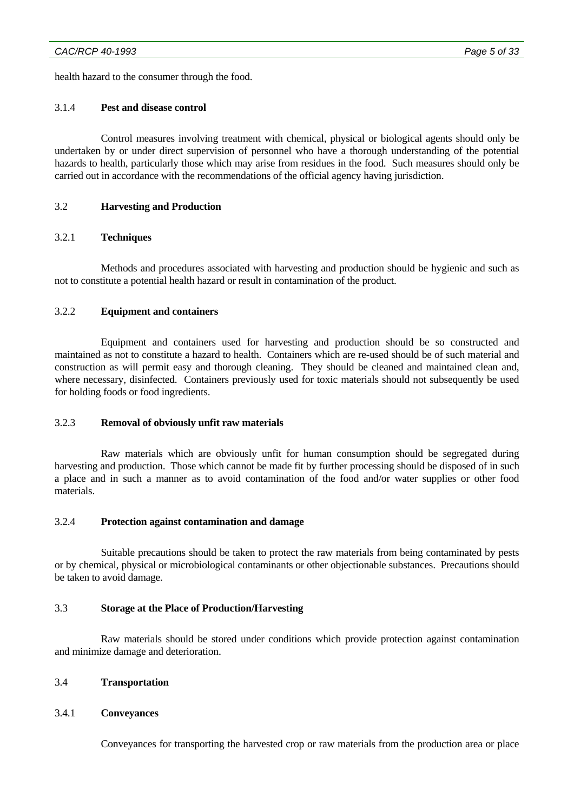health hazard to the consumer through the food.

### 3.1.4 **Pest and disease control**

 Control measures involving treatment with chemical, physical or biological agents should only be undertaken by or under direct supervision of personnel who have a thorough understanding of the potential hazards to health, particularly those which may arise from residues in the food. Such measures should only be carried out in accordance with the recommendations of the official agency having jurisdiction.

## 3.2 **Harvesting and Production**

## 3.2.1 **Techniques**

 Methods and procedures associated with harvesting and production should be hygienic and such as not to constitute a potential health hazard or result in contamination of the product.

### 3.2.2 **Equipment and containers**

 Equipment and containers used for harvesting and production should be so constructed and maintained as not to constitute a hazard to health. Containers which are re-used should be of such material and construction as will permit easy and thorough cleaning. They should be cleaned and maintained clean and, where necessary, disinfected. Containers previously used for toxic materials should not subsequently be used for holding foods or food ingredients.

#### 3.2.3 **Removal of obviously unfit raw materials**

 Raw materials which are obviously unfit for human consumption should be segregated during harvesting and production. Those which cannot be made fit by further processing should be disposed of in such a place and in such a manner as to avoid contamination of the food and/or water supplies or other food materials.

#### 3.2.4 **Protection against contamination and damage**

 Suitable precautions should be taken to protect the raw materials from being contaminated by pests or by chemical, physical or microbiological contaminants or other objectionable substances. Precautions should be taken to avoid damage.

#### 3.3 **Storage at the Place of Production/Harvesting**

 Raw materials should be stored under conditions which provide protection against contamination and minimize damage and deterioration.

## 3.4 **Transportation**

## 3.4.1 **Conveyances**

Conveyances for transporting the harvested crop or raw materials from the production area or place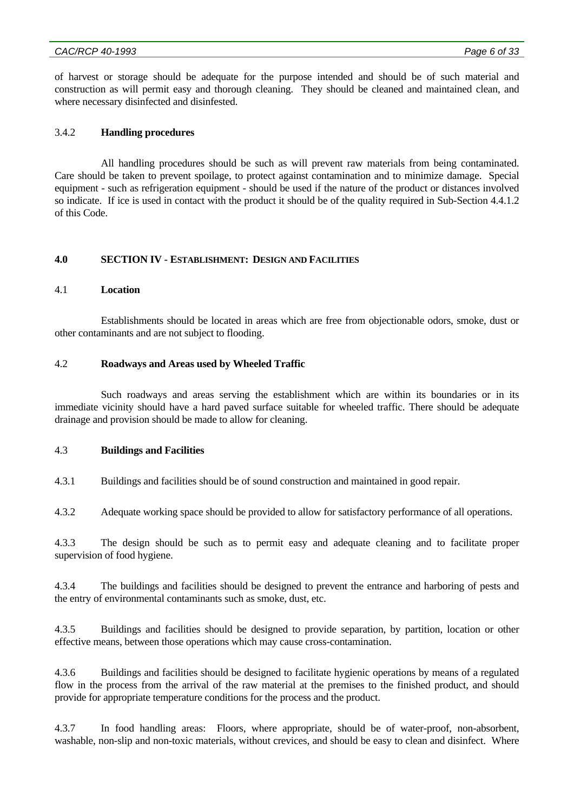of harvest or storage should be adequate for the purpose intended and should be of such material and construction as will permit easy and thorough cleaning. They should be cleaned and maintained clean, and where necessary disinfected and disinfested.

## 3.4.2 **Handling procedures**

 All handling procedures should be such as will prevent raw materials from being contaminated. Care should be taken to prevent spoilage, to protect against contamination and to minimize damage. Special equipment - such as refrigeration equipment - should be used if the nature of the product or distances involved so indicate. If ice is used in contact with the product it should be of the quality required in Sub-Section 4.4.1.2 of this Code.

## **4.0 SECTION IV - ESTABLISHMENT: DESIGN AND FACILITIES**

## 4.1 **Location**

 Establishments should be located in areas which are free from objectionable odors, smoke, dust or other contaminants and are not subject to flooding.

## 4.2 **Roadways and Areas used by Wheeled Traffic**

 Such roadways and areas serving the establishment which are within its boundaries or in its immediate vicinity should have a hard paved surface suitable for wheeled traffic. There should be adequate drainage and provision should be made to allow for cleaning.

## 4.3 **Buildings and Facilities**

4.3.1 Buildings and facilities should be of sound construction and maintained in good repair.

4.3.2 Adequate working space should be provided to allow for satisfactory performance of all operations.

4.3.3 The design should be such as to permit easy and adequate cleaning and to facilitate proper supervision of food hygiene.

4.3.4 The buildings and facilities should be designed to prevent the entrance and harboring of pests and the entry of environmental contaminants such as smoke, dust, etc.

4.3.5 Buildings and facilities should be designed to provide separation, by partition, location or other effective means, between those operations which may cause cross-contamination.

4.3.6 Buildings and facilities should be designed to facilitate hygienic operations by means of a regulated flow in the process from the arrival of the raw material at the premises to the finished product, and should provide for appropriate temperature conditions for the process and the product.

4.3.7 In food handling areas: Floors, where appropriate, should be of water-proof, non-absorbent, washable, non-slip and non-toxic materials, without crevices, and should be easy to clean and disinfect. Where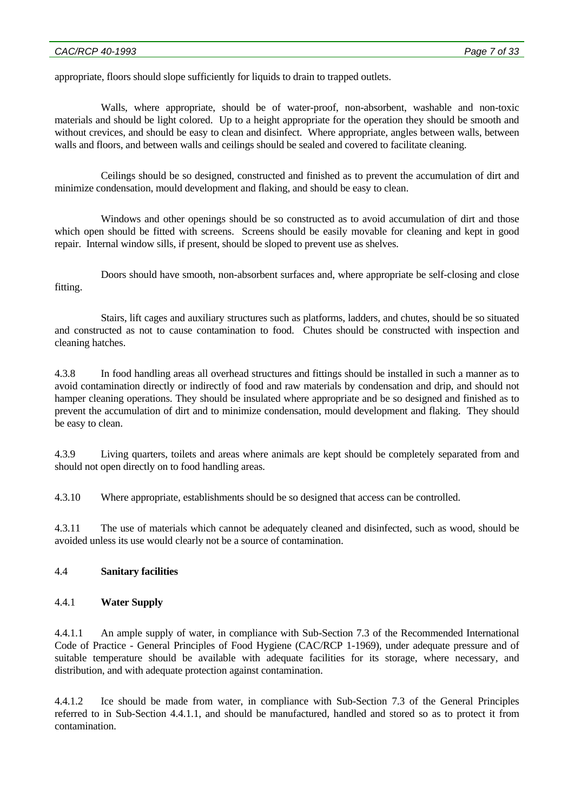appropriate, floors should slope sufficiently for liquids to drain to trapped outlets.

 Walls, where appropriate, should be of water-proof, non-absorbent, washable and non-toxic materials and should be light colored. Up to a height appropriate for the operation they should be smooth and without crevices, and should be easy to clean and disinfect. Where appropriate, angles between walls, between walls and floors, and between walls and ceilings should be sealed and covered to facilitate cleaning.

 Ceilings should be so designed, constructed and finished as to prevent the accumulation of dirt and minimize condensation, mould development and flaking, and should be easy to clean.

 Windows and other openings should be so constructed as to avoid accumulation of dirt and those which open should be fitted with screens. Screens should be easily movable for cleaning and kept in good repair. Internal window sills, if present, should be sloped to prevent use as shelves.

 Doors should have smooth, non-absorbent surfaces and, where appropriate be self-closing and close fitting.

 Stairs, lift cages and auxiliary structures such as platforms, ladders, and chutes, should be so situated and constructed as not to cause contamination to food. Chutes should be constructed with inspection and cleaning hatches.

4.3.8 In food handling areas all overhead structures and fittings should be installed in such a manner as to avoid contamination directly or indirectly of food and raw materials by condensation and drip, and should not hamper cleaning operations. They should be insulated where appropriate and be so designed and finished as to prevent the accumulation of dirt and to minimize condensation, mould development and flaking. They should be easy to clean.

4.3.9 Living quarters, toilets and areas where animals are kept should be completely separated from and should not open directly on to food handling areas.

4.3.10 Where appropriate, establishments should be so designed that access can be controlled.

4.3.11 The use of materials which cannot be adequately cleaned and disinfected, such as wood, should be avoided unless its use would clearly not be a source of contamination.

## 4.4 **Sanitary facilities**

## 4.4.1 **Water Supply**

4.4.1.1 An ample supply of water, in compliance with Sub-Section 7.3 of the Recommended International Code of Practice - General Principles of Food Hygiene (CAC/RCP 1-1969), under adequate pressure and of suitable temperature should be available with adequate facilities for its storage, where necessary, and distribution, and with adequate protection against contamination.

4.4.1.2 Ice should be made from water, in compliance with Sub-Section 7.3 of the General Principles referred to in Sub-Section 4.4.1.1, and should be manufactured, handled and stored so as to protect it from contamination.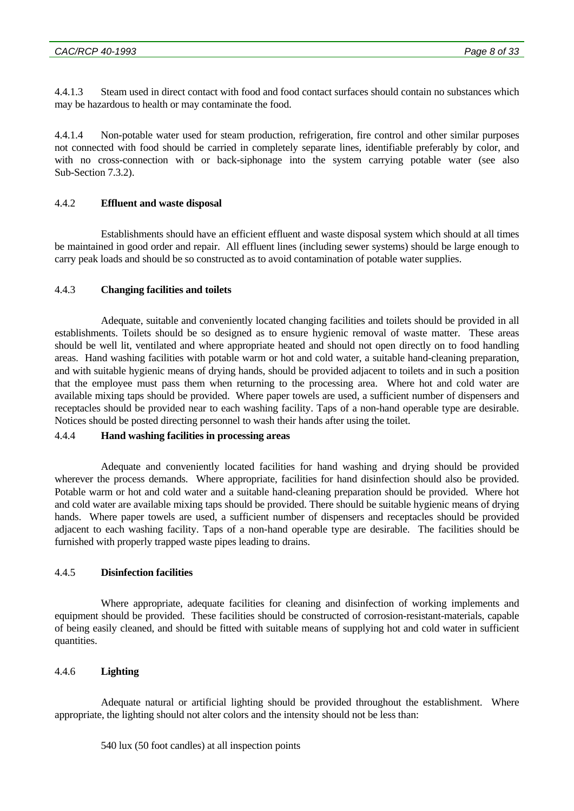4.4.1.3 Steam used in direct contact with food and food contact surfaces should contain no substances which may be hazardous to health or may contaminate the food.

4.4.1.4 Non-potable water used for steam production, refrigeration, fire control and other similar purposes not connected with food should be carried in completely separate lines, identifiable preferably by color, and with no cross-connection with or back-siphonage into the system carrying potable water (see also Sub-Section 7.3.2).

## 4.4.2 **Effluent and waste disposal**

 Establishments should have an efficient effluent and waste disposal system which should at all times be maintained in good order and repair. All effluent lines (including sewer systems) should be large enough to carry peak loads and should be so constructed as to avoid contamination of potable water supplies.

## 4.4.3 **Changing facilities and toilets**

 Adequate, suitable and conveniently located changing facilities and toilets should be provided in all establishments. Toilets should be so designed as to ensure hygienic removal of waste matter. These areas should be well lit, ventilated and where appropriate heated and should not open directly on to food handling areas. Hand washing facilities with potable warm or hot and cold water, a suitable hand-cleaning preparation, and with suitable hygienic means of drying hands, should be provided adjacent to toilets and in such a position that the employee must pass them when returning to the processing area. Where hot and cold water are available mixing taps should be provided. Where paper towels are used, a sufficient number of dispensers and receptacles should be provided near to each washing facility. Taps of a non-hand operable type are desirable. Notices should be posted directing personnel to wash their hands after using the toilet.

## 4.4.4 **Hand washing facilities in processing areas**

 Adequate and conveniently located facilities for hand washing and drying should be provided wherever the process demands. Where appropriate, facilities for hand disinfection should also be provided. Potable warm or hot and cold water and a suitable hand-cleaning preparation should be provided. Where hot and cold water are available mixing taps should be provided. There should be suitable hygienic means of drying hands. Where paper towels are used, a sufficient number of dispensers and receptacles should be provided adjacent to each washing facility. Taps of a non-hand operable type are desirable. The facilities should be furnished with properly trapped waste pipes leading to drains.

## 4.4.5 **Disinfection facilities**

 Where appropriate, adequate facilities for cleaning and disinfection of working implements and equipment should be provided. These facilities should be constructed of corrosion-resistant-materials, capable of being easily cleaned, and should be fitted with suitable means of supplying hot and cold water in sufficient quantities.

## 4.4.6 **Lighting**

 Adequate natural or artificial lighting should be provided throughout the establishment. Where appropriate, the lighting should not alter colors and the intensity should not be less than:

540 lux (50 foot candles) at all inspection points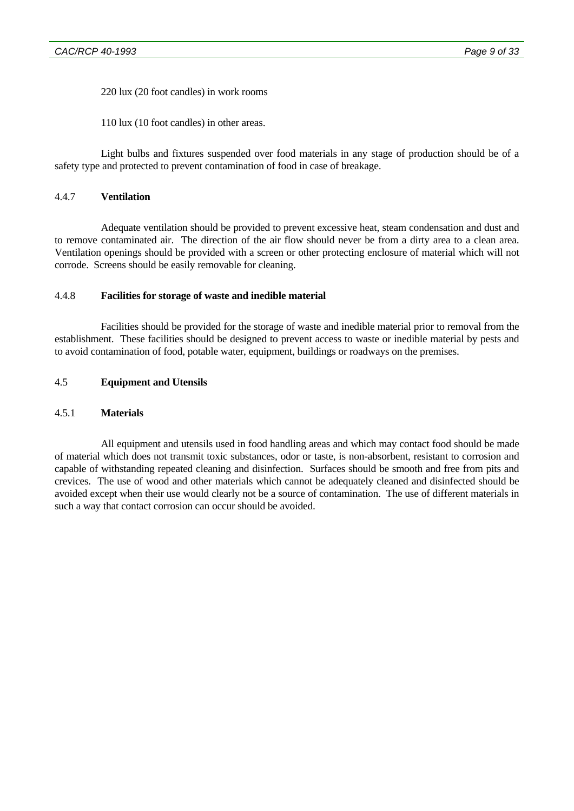220 lux (20 foot candles) in work rooms

110 lux (10 foot candles) in other areas.

 Light bulbs and fixtures suspended over food materials in any stage of production should be of a safety type and protected to prevent contamination of food in case of breakage.

# 4.4.7 **Ventilation**

 Adequate ventilation should be provided to prevent excessive heat, steam condensation and dust and to remove contaminated air. The direction of the air flow should never be from a dirty area to a clean area. Ventilation openings should be provided with a screen or other protecting enclosure of material which will not corrode. Screens should be easily removable for cleaning.

## 4.4.8 **Facilities for storage of waste and inedible material**

 Facilities should be provided for the storage of waste and inedible material prior to removal from the establishment. These facilities should be designed to prevent access to waste or inedible material by pests and to avoid contamination of food, potable water, equipment, buildings or roadways on the premises.

## 4.5 **Equipment and Utensils**

## 4.5.1 **Materials**

 All equipment and utensils used in food handling areas and which may contact food should be made of material which does not transmit toxic substances, odor or taste, is non-absorbent, resistant to corrosion and capable of withstanding repeated cleaning and disinfection. Surfaces should be smooth and free from pits and crevices. The use of wood and other materials which cannot be adequately cleaned and disinfected should be avoided except when their use would clearly not be a source of contamination. The use of different materials in such a way that contact corrosion can occur should be avoided.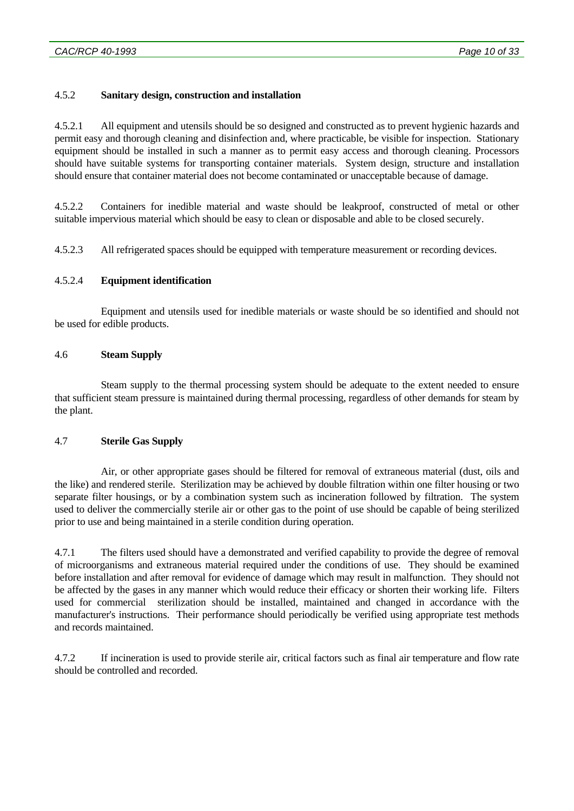## 4.5.2 **Sanitary design, construction and installation**

4.5.2.1 All equipment and utensils should be so designed and constructed as to prevent hygienic hazards and permit easy and thorough cleaning and disinfection and, where practicable, be visible for inspection. Stationary equipment should be installed in such a manner as to permit easy access and thorough cleaning. Processors should have suitable systems for transporting container materials. System design, structure and installation should ensure that container material does not become contaminated or unacceptable because of damage.

4.5.2.2 Containers for inedible material and waste should be leakproof, constructed of metal or other suitable impervious material which should be easy to clean or disposable and able to be closed securely.

4.5.2.3 All refrigerated spaces should be equipped with temperature measurement or recording devices.

## 4.5.2.4 **Equipment identification**

 Equipment and utensils used for inedible materials or waste should be so identified and should not be used for edible products.

## 4.6 **Steam Supply**

 Steam supply to the thermal processing system should be adequate to the extent needed to ensure that sufficient steam pressure is maintained during thermal processing, regardless of other demands for steam by the plant.

## 4.7 **Sterile Gas Supply**

 Air, or other appropriate gases should be filtered for removal of extraneous material (dust, oils and the like) and rendered sterile. Sterilization may be achieved by double filtration within one filter housing or two separate filter housings, or by a combination system such as incineration followed by filtration. The system used to deliver the commercially sterile air or other gas to the point of use should be capable of being sterilized prior to use and being maintained in a sterile condition during operation.

4.7.1 The filters used should have a demonstrated and verified capability to provide the degree of removal of microorganisms and extraneous material required under the conditions of use. They should be examined before installation and after removal for evidence of damage which may result in malfunction. They should not be affected by the gases in any manner which would reduce their efficacy or shorten their working life. Filters used for commercial sterilization should be installed, maintained and changed in accordance with the manufacturer's instructions. Their performance should periodically be verified using appropriate test methods and records maintained.

4.7.2 If incineration is used to provide sterile air, critical factors such as final air temperature and flow rate should be controlled and recorded.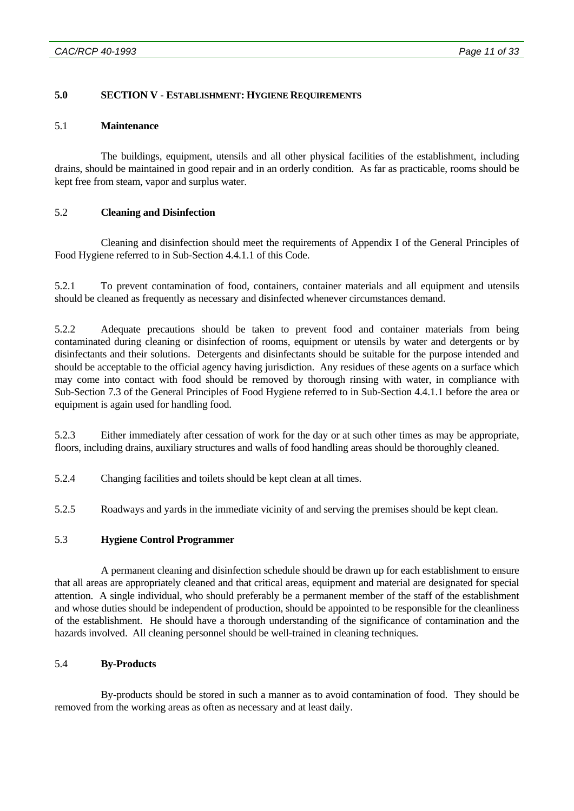## **5.0 SECTION V - ESTABLISHMENT: HYGIENE REQUIREMENTS**

### 5.1 **Maintenance**

 The buildings, equipment, utensils and all other physical facilities of the establishment, including drains, should be maintained in good repair and in an orderly condition. As far as practicable, rooms should be kept free from steam, vapor and surplus water.

## 5.2 **Cleaning and Disinfection**

 Cleaning and disinfection should meet the requirements of Appendix I of the General Principles of Food Hygiene referred to in Sub-Section 4.4.1.1 of this Code.

5.2.1 To prevent contamination of food, containers, container materials and all equipment and utensils should be cleaned as frequently as necessary and disinfected whenever circumstances demand.

5.2.2 Adequate precautions should be taken to prevent food and container materials from being contaminated during cleaning or disinfection of rooms, equipment or utensils by water and detergents or by disinfectants and their solutions. Detergents and disinfectants should be suitable for the purpose intended and should be acceptable to the official agency having jurisdiction. Any residues of these agents on a surface which may come into contact with food should be removed by thorough rinsing with water, in compliance with Sub-Section 7.3 of the General Principles of Food Hygiene referred to in Sub-Section 4.4.1.1 before the area or equipment is again used for handling food.

5.2.3 Either immediately after cessation of work for the day or at such other times as may be appropriate, floors, including drains, auxiliary structures and walls of food handling areas should be thoroughly cleaned.

5.2.4 Changing facilities and toilets should be kept clean at all times.

5.2.5 Roadways and yards in the immediate vicinity of and serving the premises should be kept clean.

## 5.3 **Hygiene Control Programmer**

 A permanent cleaning and disinfection schedule should be drawn up for each establishment to ensure that all areas are appropriately cleaned and that critical areas, equipment and material are designated for special attention. A single individual, who should preferably be a permanent member of the staff of the establishment and whose duties should be independent of production, should be appointed to be responsible for the cleanliness of the establishment. He should have a thorough understanding of the significance of contamination and the hazards involved. All cleaning personnel should be well-trained in cleaning techniques.

## 5.4 **By-Products**

 By-products should be stored in such a manner as to avoid contamination of food. They should be removed from the working areas as often as necessary and at least daily.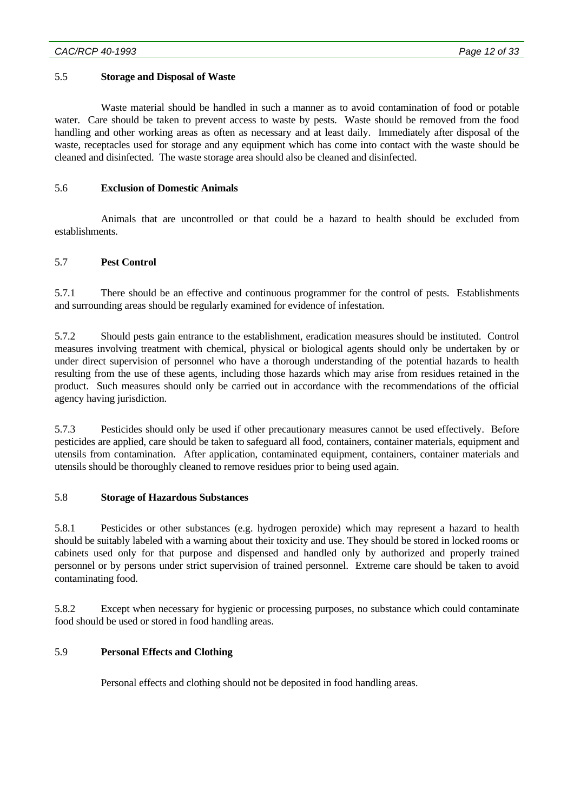## 5.5 **Storage and Disposal of Waste**

 Waste material should be handled in such a manner as to avoid contamination of food or potable water. Care should be taken to prevent access to waste by pests. Waste should be removed from the food handling and other working areas as often as necessary and at least daily. Immediately after disposal of the waste, receptacles used for storage and any equipment which has come into contact with the waste should be cleaned and disinfected. The waste storage area should also be cleaned and disinfected.

## 5.6 **Exclusion of Domestic Animals**

 Animals that are uncontrolled or that could be a hazard to health should be excluded from establishments.

## 5.7 **Pest Control**

5.7.1 There should be an effective and continuous programmer for the control of pests. Establishments and surrounding areas should be regularly examined for evidence of infestation.

5.7.2 Should pests gain entrance to the establishment, eradication measures should be instituted. Control measures involving treatment with chemical, physical or biological agents should only be undertaken by or under direct supervision of personnel who have a thorough understanding of the potential hazards to health resulting from the use of these agents, including those hazards which may arise from residues retained in the product. Such measures should only be carried out in accordance with the recommendations of the official agency having jurisdiction.

5.7.3 Pesticides should only be used if other precautionary measures cannot be used effectively. Before pesticides are applied, care should be taken to safeguard all food, containers, container materials, equipment and utensils from contamination. After application, contaminated equipment, containers, container materials and utensils should be thoroughly cleaned to remove residues prior to being used again.

## 5.8 **Storage of Hazardous Substances**

5.8.1 Pesticides or other substances (e.g. hydrogen peroxide) which may represent a hazard to health should be suitably labeled with a warning about their toxicity and use. They should be stored in locked rooms or cabinets used only for that purpose and dispensed and handled only by authorized and properly trained personnel or by persons under strict supervision of trained personnel. Extreme care should be taken to avoid contaminating food.

5.8.2 Except when necessary for hygienic or processing purposes, no substance which could contaminate food should be used or stored in food handling areas.

## 5.9 **Personal Effects and Clothing**

Personal effects and clothing should not be deposited in food handling areas.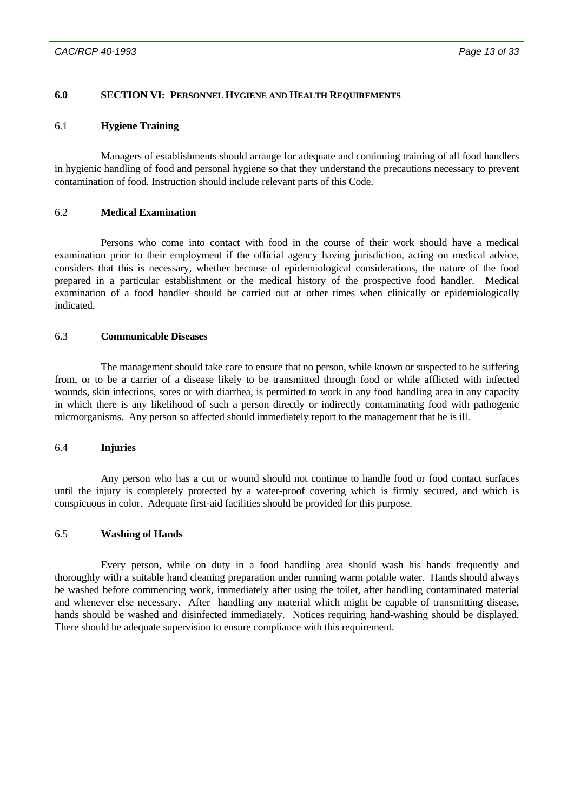### **6.0 SECTION VI: PERSONNEL HYGIENE AND HEALTH REQUIREMENTS**

#### 6.1 **Hygiene Training**

 Managers of establishments should arrange for adequate and continuing training of all food handlers in hygienic handling of food and personal hygiene so that they understand the precautions necessary to prevent contamination of food. Instruction should include relevant parts of this Code.

## 6.2 **Medical Examination**

 Persons who come into contact with food in the course of their work should have a medical examination prior to their employment if the official agency having jurisdiction, acting on medical advice, considers that this is necessary, whether because of epidemiological considerations, the nature of the food prepared in a particular establishment or the medical history of the prospective food handler. Medical examination of a food handler should be carried out at other times when clinically or epidemiologically indicated.

### 6.3 **Communicable Diseases**

 The management should take care to ensure that no person, while known or suspected to be suffering from, or to be a carrier of a disease likely to be transmitted through food or while afflicted with infected wounds, skin infections, sores or with diarrhea, is permitted to work in any food handling area in any capacity in which there is any likelihood of such a person directly or indirectly contaminating food with pathogenic microorganisms. Any person so affected should immediately report to the management that he is ill.

#### 6.4 **Injuries**

 Any person who has a cut or wound should not continue to handle food or food contact surfaces until the injury is completely protected by a water-proof covering which is firmly secured, and which is conspicuous in color. Adequate first-aid facilities should be provided for this purpose.

## 6.5 **Washing of Hands**

 Every person, while on duty in a food handling area should wash his hands frequently and thoroughly with a suitable hand cleaning preparation under running warm potable water. Hands should always be washed before commencing work, immediately after using the toilet, after handling contaminated material and whenever else necessary. After handling any material which might be capable of transmitting disease, hands should be washed and disinfected immediately. Notices requiring hand-washing should be displayed. There should be adequate supervision to ensure compliance with this requirement.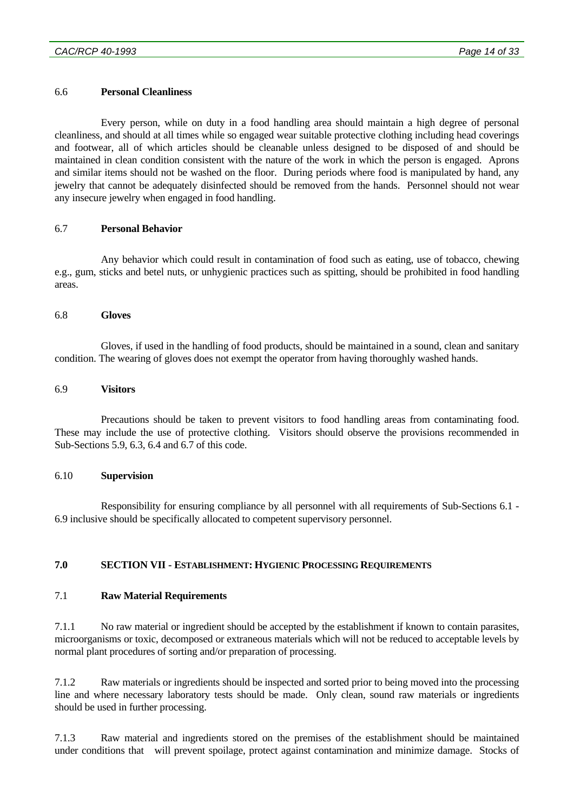### 6.6 **Personal Cleanliness**

 Every person, while on duty in a food handling area should maintain a high degree of personal cleanliness, and should at all times while so engaged wear suitable protective clothing including head coverings and footwear, all of which articles should be cleanable unless designed to be disposed of and should be maintained in clean condition consistent with the nature of the work in which the person is engaged. Aprons and similar items should not be washed on the floor. During periods where food is manipulated by hand, any jewelry that cannot be adequately disinfected should be removed from the hands. Personnel should not wear any insecure jewelry when engaged in food handling.

## 6.7 **Personal Behavior**

 Any behavior which could result in contamination of food such as eating, use of tobacco, chewing e.g., gum, sticks and betel nuts, or unhygienic practices such as spitting, should be prohibited in food handling areas.

#### 6.8 **Gloves**

 Gloves, if used in the handling of food products, should be maintained in a sound, clean and sanitary condition. The wearing of gloves does not exempt the operator from having thoroughly washed hands.

#### 6.9 **Visitors**

 Precautions should be taken to prevent visitors to food handling areas from contaminating food. These may include the use of protective clothing. Visitors should observe the provisions recommended in Sub-Sections 5.9, 6.3, 6.4 and 6.7 of this code.

#### 6.10 **Supervision**

 Responsibility for ensuring compliance by all personnel with all requirements of Sub-Sections 6.1 - 6.9 inclusive should be specifically allocated to competent supervisory personnel.

## **7.0 SECTION VII - ESTABLISHMENT: HYGIENIC PROCESSING REQUIREMENTS**

## 7.1 **Raw Material Requirements**

7.1.1 No raw material or ingredient should be accepted by the establishment if known to contain parasites, microorganisms or toxic, decomposed or extraneous materials which will not be reduced to acceptable levels by normal plant procedures of sorting and/or preparation of processing.

7.1.2 Raw materials or ingredients should be inspected and sorted prior to being moved into the processing line and where necessary laboratory tests should be made. Only clean, sound raw materials or ingredients should be used in further processing.

7.1.3 Raw material and ingredients stored on the premises of the establishment should be maintained under conditions that will prevent spoilage, protect against contamination and minimize damage. Stocks of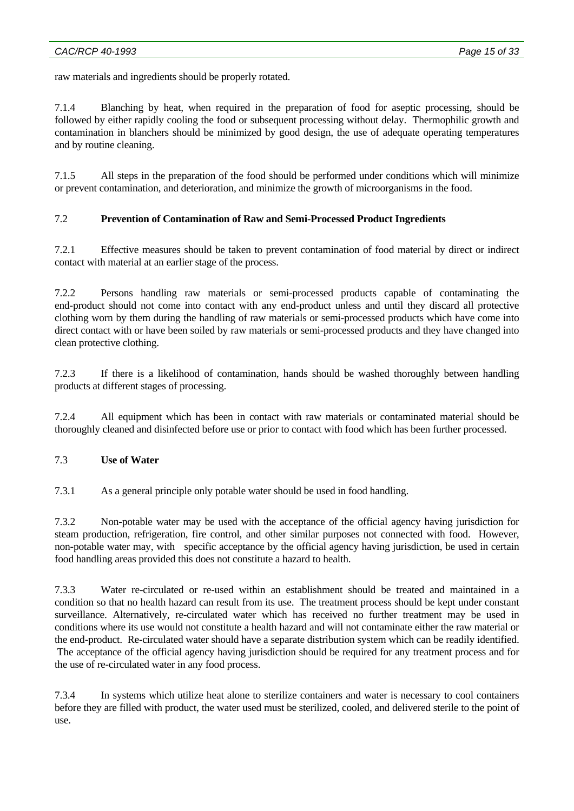raw materials and ingredients should be properly rotated.

7.1.4 Blanching by heat, when required in the preparation of food for aseptic processing, should be followed by either rapidly cooling the food or subsequent processing without delay. Thermophilic growth and contamination in blanchers should be minimized by good design, the use of adequate operating temperatures and by routine cleaning.

7.1.5 All steps in the preparation of the food should be performed under conditions which will minimize or prevent contamination, and deterioration, and minimize the growth of microorganisms in the food.

## 7.2 **Prevention of Contamination of Raw and Semi-Processed Product Ingredients**

7.2.1 Effective measures should be taken to prevent contamination of food material by direct or indirect contact with material at an earlier stage of the process.

7.2.2 Persons handling raw materials or semi-processed products capable of contaminating the end-product should not come into contact with any end-product unless and until they discard all protective clothing worn by them during the handling of raw materials or semi-processed products which have come into direct contact with or have been soiled by raw materials or semi-processed products and they have changed into clean protective clothing.

7.2.3 If there is a likelihood of contamination, hands should be washed thoroughly between handling products at different stages of processing.

7.2.4 All equipment which has been in contact with raw materials or contaminated material should be thoroughly cleaned and disinfected before use or prior to contact with food which has been further processed.

## 7.3 **Use of Water**

7.3.1 As a general principle only potable water should be used in food handling.

7.3.2 Non-potable water may be used with the acceptance of the official agency having jurisdiction for steam production, refrigeration, fire control, and other similar purposes not connected with food. However, non-potable water may, with specific acceptance by the official agency having jurisdiction, be used in certain food handling areas provided this does not constitute a hazard to health.

7.3.3 Water re-circulated or re-used within an establishment should be treated and maintained in a condition so that no health hazard can result from its use. The treatment process should be kept under constant surveillance. Alternatively, re-circulated water which has received no further treatment may be used in conditions where its use would not constitute a health hazard and will not contaminate either the raw material or the end-product. Re-circulated water should have a separate distribution system which can be readily identified. The acceptance of the official agency having jurisdiction should be required for any treatment process and for the use of re-circulated water in any food process.

7.3.4 In systems which utilize heat alone to sterilize containers and water is necessary to cool containers before they are filled with product, the water used must be sterilized, cooled, and delivered sterile to the point of use.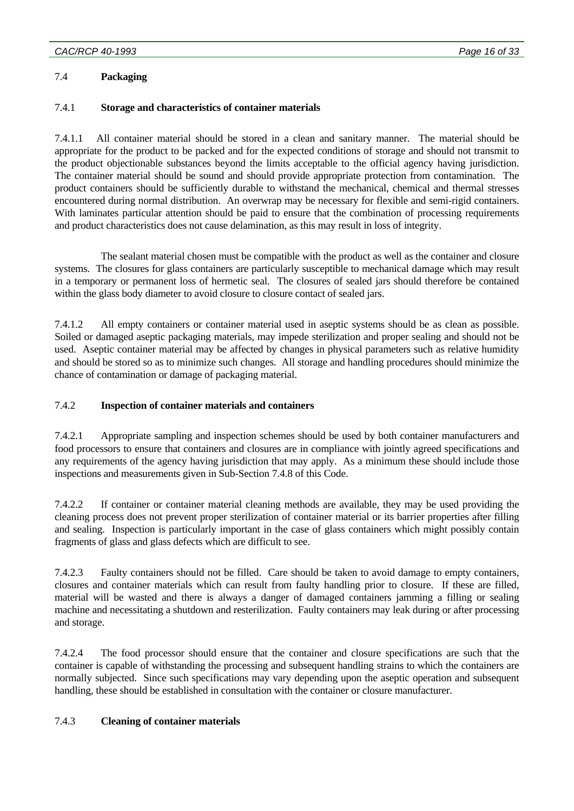## 7.4 **Packaging**

## 7.4.1 **Storage and characteristics of container materials**

7.4.1.1 All container material should be stored in a clean and sanitary manner. The material should be appropriate for the product to be packed and for the expected conditions of storage and should not transmit to the product objectionable substances beyond the limits acceptable to the official agency having jurisdiction. The container material should be sound and should provide appropriate protection from contamination. The product containers should be sufficiently durable to withstand the mechanical, chemical and thermal stresses encountered during normal distribution. An overwrap may be necessary for flexible and semi-rigid containers. With laminates particular attention should be paid to ensure that the combination of processing requirements and product characteristics does not cause delamination, as this may result in loss of integrity.

 The sealant material chosen must be compatible with the product as well as the container and closure systems. The closures for glass containers are particularly susceptible to mechanical damage which may result in a temporary or permanent loss of hermetic seal. The closures of sealed jars should therefore be contained within the glass body diameter to avoid closure to closure contact of sealed jars.

7.4.1.2 All empty containers or container material used in aseptic systems should be as clean as possible. Soiled or damaged aseptic packaging materials, may impede sterilization and proper sealing and should not be used. Aseptic container material may be affected by changes in physical parameters such as relative humidity and should be stored so as to minimize such changes. All storage and handling procedures should minimize the chance of contamination or damage of packaging material.

## 7.4.2 **Inspection of container materials and containers**

7.4.2.1 Appropriate sampling and inspection schemes should be used by both container manufacturers and food processors to ensure that containers and closures are in compliance with jointly agreed specifications and any requirements of the agency having jurisdiction that may apply. As a minimum these should include those inspections and measurements given in Sub-Section 7.4.8 of this Code.

7.4.2.2 If container or container material cleaning methods are available, they may be used providing the cleaning process does not prevent proper sterilization of container material or its barrier properties after filling and sealing. Inspection is particularly important in the case of glass containers which might possibly contain fragments of glass and glass defects which are difficult to see.

7.4.2.3 Faulty containers should not be filled. Care should be taken to avoid damage to empty containers, closures and container materials which can result from faulty handling prior to closure. If these are filled, material will be wasted and there is always a danger of damaged containers jamming a filling or sealing machine and necessitating a shutdown and resterilization. Faulty containers may leak during or after processing and storage.

7.4.2.4 The food processor should ensure that the container and closure specifications are such that the container is capable of withstanding the processing and subsequent handling strains to which the containers are normally subjected. Since such specifications may vary depending upon the aseptic operation and subsequent handling, these should be established in consultation with the container or closure manufacturer.

## 7.4.3 **Cleaning of container materials**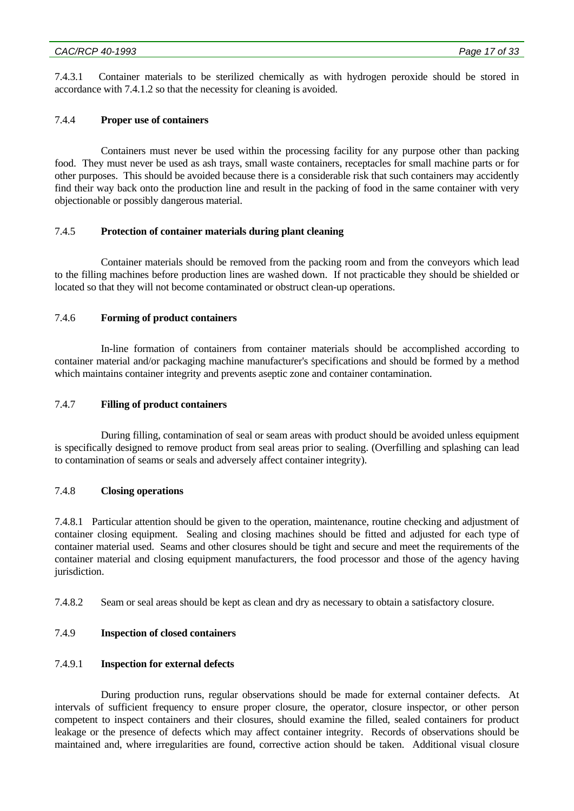7.4.3.1 Container materials to be sterilized chemically as with hydrogen peroxide should be stored in accordance with 7.4.1.2 so that the necessity for cleaning is avoided.

#### 7.4.4 **Proper use of containers**

 Containers must never be used within the processing facility for any purpose other than packing food. They must never be used as ash trays, small waste containers, receptacles for small machine parts or for other purposes. This should be avoided because there is a considerable risk that such containers may accidently find their way back onto the production line and result in the packing of food in the same container with very objectionable or possibly dangerous material.

## 7.4.5 **Protection of container materials during plant cleaning**

 Container materials should be removed from the packing room and from the conveyors which lead to the filling machines before production lines are washed down. If not practicable they should be shielded or located so that they will not become contaminated or obstruct clean-up operations.

#### 7.4.6 **Forming of product containers**

 In-line formation of containers from container materials should be accomplished according to container material and/or packaging machine manufacturer's specifications and should be formed by a method which maintains container integrity and prevents aseptic zone and container contamination.

### 7.4.7 **Filling of product containers**

 During filling, contamination of seal or seam areas with product should be avoided unless equipment is specifically designed to remove product from seal areas prior to sealing. (Overfilling and splashing can lead to contamination of seams or seals and adversely affect container integrity).

### 7.4.8 **Closing operations**

7.4.8.1 Particular attention should be given to the operation, maintenance, routine checking and adjustment of container closing equipment. Sealing and closing machines should be fitted and adjusted for each type of container material used. Seams and other closures should be tight and secure and meet the requirements of the container material and closing equipment manufacturers, the food processor and those of the agency having jurisdiction.

7.4.8.2 Seam or seal areas should be kept as clean and dry as necessary to obtain a satisfactory closure.

## 7.4.9 **Inspection of closed containers**

### 7.4.9.1 **Inspection for external defects**

 During production runs, regular observations should be made for external container defects. At intervals of sufficient frequency to ensure proper closure, the operator, closure inspector, or other person competent to inspect containers and their closures, should examine the filled, sealed containers for product leakage or the presence of defects which may affect container integrity. Records of observations should be maintained and, where irregularities are found, corrective action should be taken. Additional visual closure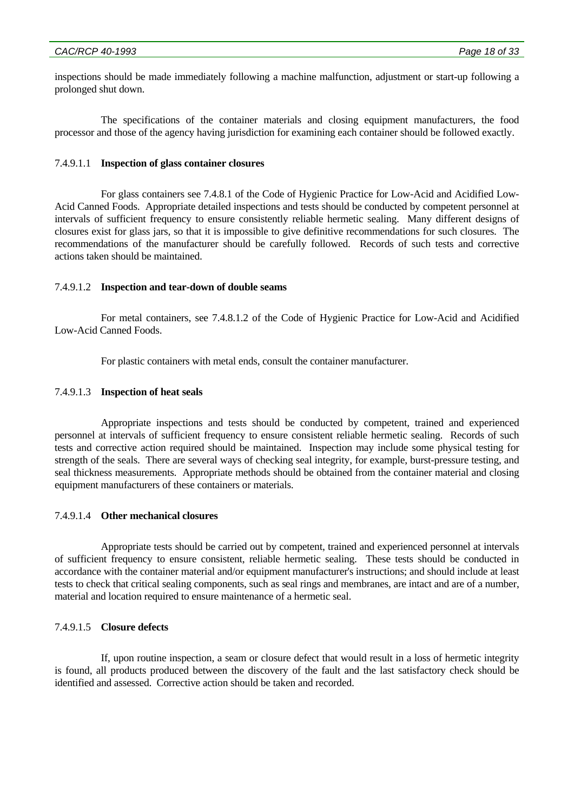inspections should be made immediately following a machine malfunction, adjustment or start-up following a prolonged shut down.

 The specifications of the container materials and closing equipment manufacturers, the food processor and those of the agency having jurisdiction for examining each container should be followed exactly.

## 7.4.9.1.1 **Inspection of glass container closures**

 For glass containers see 7.4.8.1 of the Code of Hygienic Practice for Low-Acid and Acidified Low-Acid Canned Foods. Appropriate detailed inspections and tests should be conducted by competent personnel at intervals of sufficient frequency to ensure consistently reliable hermetic sealing. Many different designs of closures exist for glass jars, so that it is impossible to give definitive recommendations for such closures. The recommendations of the manufacturer should be carefully followed. Records of such tests and corrective actions taken should be maintained.

#### 7.4.9.1.2 **Inspection and tear-down of double seams**

 For metal containers, see 7.4.8.1.2 of the Code of Hygienic Practice for Low-Acid and Acidified Low-Acid Canned Foods.

For plastic containers with metal ends, consult the container manufacturer.

#### 7.4.9.1.3 **Inspection of heat seals**

 Appropriate inspections and tests should be conducted by competent, trained and experienced personnel at intervals of sufficient frequency to ensure consistent reliable hermetic sealing. Records of such tests and corrective action required should be maintained. Inspection may include some physical testing for strength of the seals. There are several ways of checking seal integrity, for example, burst-pressure testing, and seal thickness measurements. Appropriate methods should be obtained from the container material and closing equipment manufacturers of these containers or materials.

## 7.4.9.1.4 **Other mechanical closures**

 Appropriate tests should be carried out by competent, trained and experienced personnel at intervals of sufficient frequency to ensure consistent, reliable hermetic sealing. These tests should be conducted in accordance with the container material and/or equipment manufacturer's instructions; and should include at least tests to check that critical sealing components, such as seal rings and membranes, are intact and are of a number, material and location required to ensure maintenance of a hermetic seal.

## 7.4.9.1.5 **Closure defects**

 If, upon routine inspection, a seam or closure defect that would result in a loss of hermetic integrity is found, all products produced between the discovery of the fault and the last satisfactory check should be identified and assessed. Corrective action should be taken and recorded.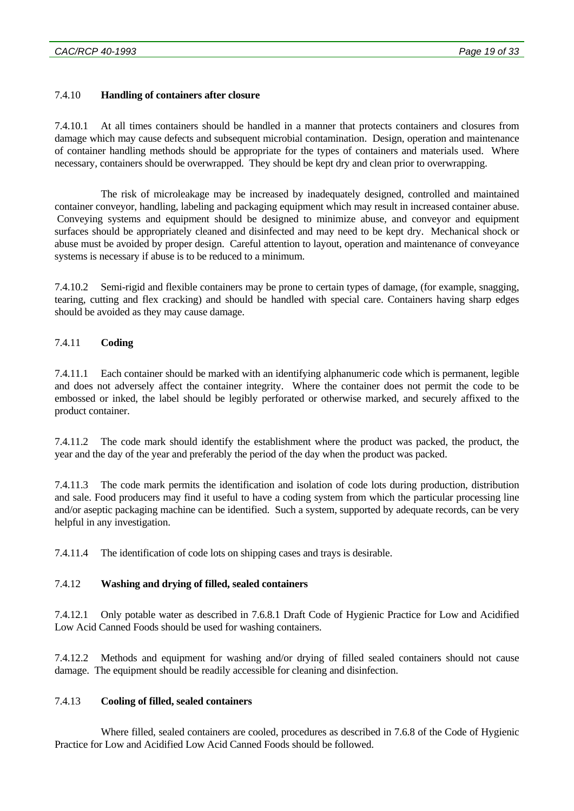## 7.4.10 **Handling of containers after closure**

7.4.10.1 At all times containers should be handled in a manner that protects containers and closures from damage which may cause defects and subsequent microbial contamination. Design, operation and maintenance of container handling methods should be appropriate for the types of containers and materials used. Where necessary, containers should be overwrapped. They should be kept dry and clean prior to overwrapping.

 The risk of microleakage may be increased by inadequately designed, controlled and maintained container conveyor, handling, labeling and packaging equipment which may result in increased container abuse. Conveying systems and equipment should be designed to minimize abuse, and conveyor and equipment surfaces should be appropriately cleaned and disinfected and may need to be kept dry. Mechanical shock or abuse must be avoided by proper design. Careful attention to layout, operation and maintenance of conveyance systems is necessary if abuse is to be reduced to a minimum.

7.4.10.2 Semi-rigid and flexible containers may be prone to certain types of damage, (for example, snagging, tearing, cutting and flex cracking) and should be handled with special care. Containers having sharp edges should be avoided as they may cause damage.

## 7.4.11 **Coding**

7.4.11.1 Each container should be marked with an identifying alphanumeric code which is permanent, legible and does not adversely affect the container integrity. Where the container does not permit the code to be embossed or inked, the label should be legibly perforated or otherwise marked, and securely affixed to the product container.

7.4.11.2 The code mark should identify the establishment where the product was packed, the product, the year and the day of the year and preferably the period of the day when the product was packed.

7.4.11.3 The code mark permits the identification and isolation of code lots during production, distribution and sale. Food producers may find it useful to have a coding system from which the particular processing line and/or aseptic packaging machine can be identified. Such a system, supported by adequate records, can be very helpful in any investigation.

7.4.11.4 The identification of code lots on shipping cases and trays is desirable.

## 7.4.12 **Washing and drying of filled, sealed containers**

7.4.12.1 Only potable water as described in 7.6.8.1 Draft Code of Hygienic Practice for Low and Acidified Low Acid Canned Foods should be used for washing containers.

7.4.12.2 Methods and equipment for washing and/or drying of filled sealed containers should not cause damage. The equipment should be readily accessible for cleaning and disinfection.

## 7.4.13 **Cooling of filled, sealed containers**

 Where filled, sealed containers are cooled, procedures as described in 7.6.8 of the Code of Hygienic Practice for Low and Acidified Low Acid Canned Foods should be followed.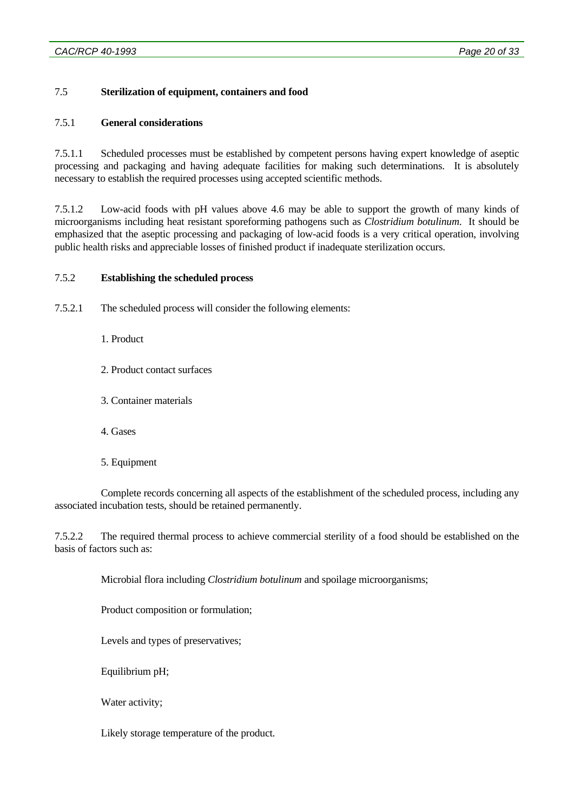## 7.5 **Sterilization of equipment, containers and food**

## 7.5.1 **General considerations**

7.5.1.1 Scheduled processes must be established by competent persons having expert knowledge of aseptic processing and packaging and having adequate facilities for making such determinations. It is absolutely necessary to establish the required processes using accepted scientific methods.

7.5.1.2 Low-acid foods with pH values above 4.6 may be able to support the growth of many kinds of microorganisms including heat resistant sporeforming pathogens such as *Clostridium botulinum*. It should be emphasized that the aseptic processing and packaging of low-acid foods is a very critical operation, involving public health risks and appreciable losses of finished product if inadequate sterilization occurs.

## 7.5.2 **Establishing the scheduled process**

7.5.2.1 The scheduled process will consider the following elements:

- 1. Product
- 2. Product contact surfaces
- 3. Container materials
- 4. Gases
- 5. Equipment

 Complete records concerning all aspects of the establishment of the scheduled process, including any associated incubation tests, should be retained permanently.

7.5.2.2 The required thermal process to achieve commercial sterility of a food should be established on the basis of factors such as:

Microbial flora including *Clostridium botulinum* and spoilage microorganisms;

Product composition or formulation;

Levels and types of preservatives;

Equilibrium pH;

Water activity;

Likely storage temperature of the product.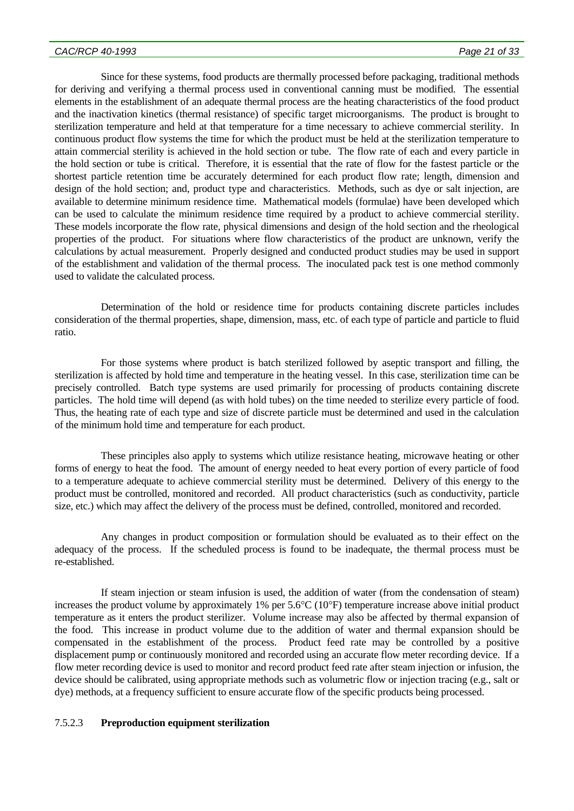Since for these systems, food products are thermally processed before packaging, traditional methods for deriving and verifying a thermal process used in conventional canning must be modified. The essential elements in the establishment of an adequate thermal process are the heating characteristics of the food product and the inactivation kinetics (thermal resistance) of specific target microorganisms. The product is brought to sterilization temperature and held at that temperature for a time necessary to achieve commercial sterility. In continuous product flow systems the time for which the product must be held at the sterilization temperature to attain commercial sterility is achieved in the hold section or tube. The flow rate of each and every particle in the hold section or tube is critical. Therefore, it is essential that the rate of flow for the fastest particle or the shortest particle retention time be accurately determined for each product flow rate; length, dimension and design of the hold section; and, product type and characteristics. Methods, such as dye or salt injection, are available to determine minimum residence time. Mathematical models (formulae) have been developed which can be used to calculate the minimum residence time required by a product to achieve commercial sterility. These models incorporate the flow rate, physical dimensions and design of the hold section and the rheological properties of the product. For situations where flow characteristics of the product are unknown, verify the calculations by actual measurement. Properly designed and conducted product studies may be used in support of the establishment and validation of the thermal process. The inoculated pack test is one method commonly used to validate the calculated process.

 Determination of the hold or residence time for products containing discrete particles includes consideration of the thermal properties, shape, dimension, mass, etc. of each type of particle and particle to fluid ratio.

 For those systems where product is batch sterilized followed by aseptic transport and filling, the sterilization is affected by hold time and temperature in the heating vessel. In this case, sterilization time can be precisely controlled. Batch type systems are used primarily for processing of products containing discrete particles. The hold time will depend (as with hold tubes) on the time needed to sterilize every particle of food. Thus, the heating rate of each type and size of discrete particle must be determined and used in the calculation of the minimum hold time and temperature for each product.

 These principles also apply to systems which utilize resistance heating, microwave heating or other forms of energy to heat the food. The amount of energy needed to heat every portion of every particle of food to a temperature adequate to achieve commercial sterility must be determined. Delivery of this energy to the product must be controlled, monitored and recorded. All product characteristics (such as conductivity, particle size, etc.) which may affect the delivery of the process must be defined, controlled, monitored and recorded.

 Any changes in product composition or formulation should be evaluated as to their effect on the adequacy of the process. If the scheduled process is found to be inadequate, the thermal process must be re-established.

 If steam injection or steam infusion is used, the addition of water (from the condensation of steam) increases the product volume by approximately 1% per 5.6°C (10°F) temperature increase above initial product temperature as it enters the product sterilizer. Volume increase may also be affected by thermal expansion of the food. This increase in product volume due to the addition of water and thermal expansion should be compensated in the establishment of the process. Product feed rate may be controlled by a positive displacement pump or continuously monitored and recorded using an accurate flow meter recording device. If a flow meter recording device is used to monitor and record product feed rate after steam injection or infusion, the device should be calibrated, using appropriate methods such as volumetric flow or injection tracing (e.g., salt or dye) methods, at a frequency sufficient to ensure accurate flow of the specific products being processed.

## 7.5.2.3 **Preproduction equipment sterilization**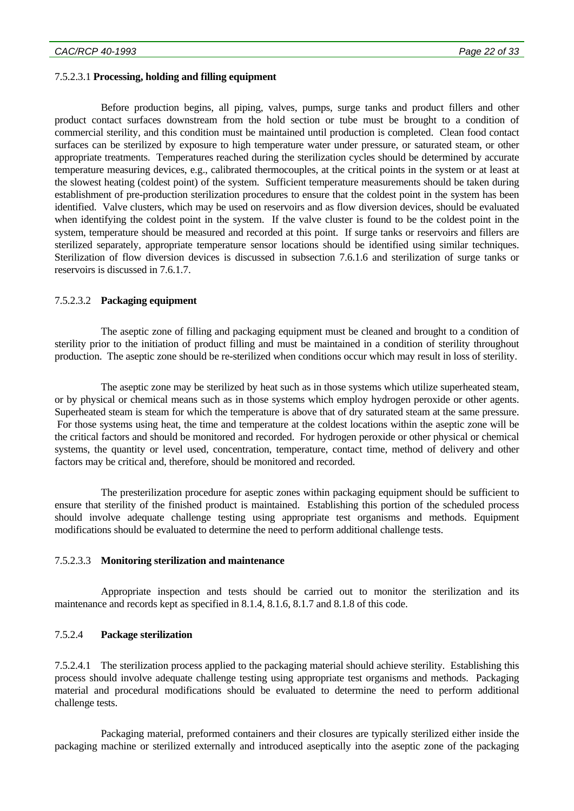#### 7.5.2.3.1 **Processing, holding and filling equipment**

 Before production begins, all piping, valves, pumps, surge tanks and product fillers and other product contact surfaces downstream from the hold section or tube must be brought to a condition of commercial sterility, and this condition must be maintained until production is completed. Clean food contact surfaces can be sterilized by exposure to high temperature water under pressure, or saturated steam, or other appropriate treatments. Temperatures reached during the sterilization cycles should be determined by accurate temperature measuring devices, e.g., calibrated thermocouples, at the critical points in the system or at least at the slowest heating (coldest point) of the system. Sufficient temperature measurements should be taken during establishment of pre-production sterilization procedures to ensure that the coldest point in the system has been identified. Valve clusters, which may be used on reservoirs and as flow diversion devices, should be evaluated when identifying the coldest point in the system. If the valve cluster is found to be the coldest point in the system, temperature should be measured and recorded at this point. If surge tanks or reservoirs and fillers are sterilized separately, appropriate temperature sensor locations should be identified using similar techniques. Sterilization of flow diversion devices is discussed in subsection 7.6.1.6 and sterilization of surge tanks or reservoirs is discussed in 7.6.1.7.

#### 7.5.2.3.2 **Packaging equipment**

 The aseptic zone of filling and packaging equipment must be cleaned and brought to a condition of sterility prior to the initiation of product filling and must be maintained in a condition of sterility throughout production. The aseptic zone should be re-sterilized when conditions occur which may result in loss of sterility.

 The aseptic zone may be sterilized by heat such as in those systems which utilize superheated steam, or by physical or chemical means such as in those systems which employ hydrogen peroxide or other agents. Superheated steam is steam for which the temperature is above that of dry saturated steam at the same pressure. For those systems using heat, the time and temperature at the coldest locations within the aseptic zone will be the critical factors and should be monitored and recorded. For hydrogen peroxide or other physical or chemical systems, the quantity or level used, concentration, temperature, contact time, method of delivery and other factors may be critical and, therefore, should be monitored and recorded.

 The presterilization procedure for aseptic zones within packaging equipment should be sufficient to ensure that sterility of the finished product is maintained. Establishing this portion of the scheduled process should involve adequate challenge testing using appropriate test organisms and methods. Equipment modifications should be evaluated to determine the need to perform additional challenge tests.

#### 7.5.2.3.3 **Monitoring sterilization and maintenance**

 Appropriate inspection and tests should be carried out to monitor the sterilization and its maintenance and records kept as specified in 8.1.4, 8.1.6, 8.1.7 and 8.1.8 of this code.

#### 7.5.2.4 **Package sterilization**

7.5.2.4.1 The sterilization process applied to the packaging material should achieve sterility. Establishing this process should involve adequate challenge testing using appropriate test organisms and methods. Packaging material and procedural modifications should be evaluated to determine the need to perform additional challenge tests.

 Packaging material, preformed containers and their closures are typically sterilized either inside the packaging machine or sterilized externally and introduced aseptically into the aseptic zone of the packaging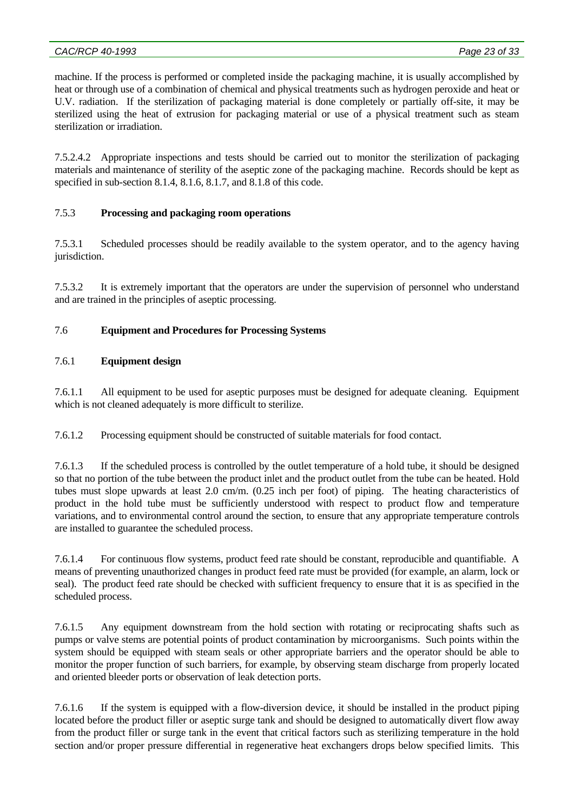machine. If the process is performed or completed inside the packaging machine, it is usually accomplished by heat or through use of a combination of chemical and physical treatments such as hydrogen peroxide and heat or U.V. radiation. If the sterilization of packaging material is done completely or partially off-site, it may be sterilized using the heat of extrusion for packaging material or use of a physical treatment such as steam sterilization or irradiation.

7.5.2.4.2 Appropriate inspections and tests should be carried out to monitor the sterilization of packaging materials and maintenance of sterility of the aseptic zone of the packaging machine. Records should be kept as specified in sub-section 8.1.4, 8.1.6, 8.1.7, and 8.1.8 of this code.

# 7.5.3 **Processing and packaging room operations**

7.5.3.1 Scheduled processes should be readily available to the system operator, and to the agency having jurisdiction.

7.5.3.2 It is extremely important that the operators are under the supervision of personnel who understand and are trained in the principles of aseptic processing.

# 7.6 **Equipment and Procedures for Processing Systems**

# 7.6.1 **Equipment design**

7.6.1.1 All equipment to be used for aseptic purposes must be designed for adequate cleaning. Equipment which is not cleaned adequately is more difficult to sterilize.

7.6.1.2 Processing equipment should be constructed of suitable materials for food contact.

7.6.1.3 If the scheduled process is controlled by the outlet temperature of a hold tube, it should be designed so that no portion of the tube between the product inlet and the product outlet from the tube can be heated. Hold tubes must slope upwards at least 2.0 cm/m. (0.25 inch per foot) of piping. The heating characteristics of product in the hold tube must be sufficiently understood with respect to product flow and temperature variations, and to environmental control around the section, to ensure that any appropriate temperature controls are installed to guarantee the scheduled process.

7.6.1.4 For continuous flow systems, product feed rate should be constant, reproducible and quantifiable. A means of preventing unauthorized changes in product feed rate must be provided (for example, an alarm, lock or seal). The product feed rate should be checked with sufficient frequency to ensure that it is as specified in the scheduled process.

7.6.1.5 Any equipment downstream from the hold section with rotating or reciprocating shafts such as pumps or valve stems are potential points of product contamination by microorganisms. Such points within the system should be equipped with steam seals or other appropriate barriers and the operator should be able to monitor the proper function of such barriers, for example, by observing steam discharge from properly located and oriented bleeder ports or observation of leak detection ports.

7.6.1.6 If the system is equipped with a flow-diversion device, it should be installed in the product piping located before the product filler or aseptic surge tank and should be designed to automatically divert flow away from the product filler or surge tank in the event that critical factors such as sterilizing temperature in the hold section and/or proper pressure differential in regenerative heat exchangers drops below specified limits. This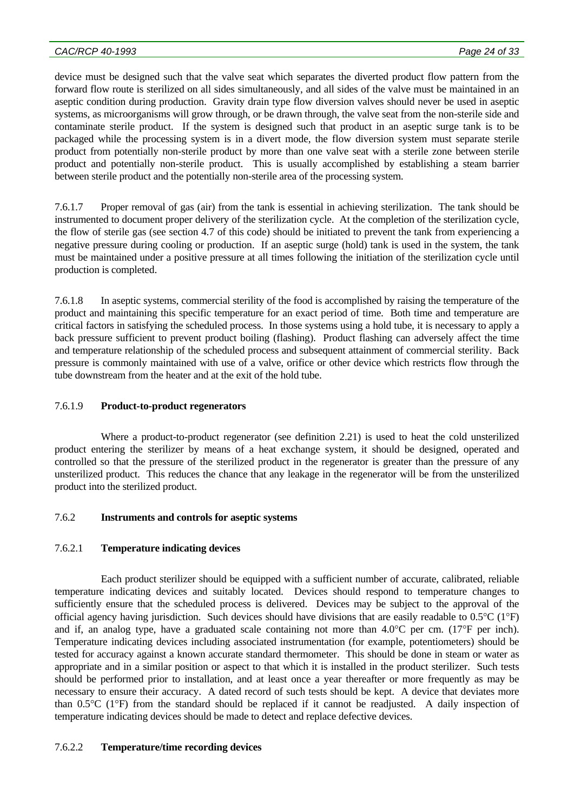device must be designed such that the valve seat which separates the diverted product flow pattern from the forward flow route is sterilized on all sides simultaneously, and all sides of the valve must be maintained in an aseptic condition during production. Gravity drain type flow diversion valves should never be used in aseptic systems, as microorganisms will grow through, or be drawn through, the valve seat from the non-sterile side and contaminate sterile product. If the system is designed such that product in an aseptic surge tank is to be packaged while the processing system is in a divert mode, the flow diversion system must separate sterile product from potentially non-sterile product by more than one valve seat with a sterile zone between sterile product and potentially non-sterile product. This is usually accomplished by establishing a steam barrier between sterile product and the potentially non-sterile area of the processing system.

7.6.1.7 Proper removal of gas (air) from the tank is essential in achieving sterilization. The tank should be instrumented to document proper delivery of the sterilization cycle. At the completion of the sterilization cycle, the flow of sterile gas (see section 4.7 of this code) should be initiated to prevent the tank from experiencing a negative pressure during cooling or production. If an aseptic surge (hold) tank is used in the system, the tank must be maintained under a positive pressure at all times following the initiation of the sterilization cycle until production is completed.

7.6.1.8 In aseptic systems, commercial sterility of the food is accomplished by raising the temperature of the product and maintaining this specific temperature for an exact period of time. Both time and temperature are critical factors in satisfying the scheduled process. In those systems using a hold tube, it is necessary to apply a back pressure sufficient to prevent product boiling (flashing). Product flashing can adversely affect the time and temperature relationship of the scheduled process and subsequent attainment of commercial sterility. Back pressure is commonly maintained with use of a valve, orifice or other device which restricts flow through the tube downstream from the heater and at the exit of the hold tube.

## 7.6.1.9 **Product-to-product regenerators**

 Where a product-to-product regenerator (see definition 2.21) is used to heat the cold unsterilized product entering the sterilizer by means of a heat exchange system, it should be designed, operated and controlled so that the pressure of the sterilized product in the regenerator is greater than the pressure of any unsterilized product. This reduces the chance that any leakage in the regenerator will be from the unsterilized product into the sterilized product.

## 7.6.2 **Instruments and controls for aseptic systems**

## 7.6.2.1 **Temperature indicating devices**

 Each product sterilizer should be equipped with a sufficient number of accurate, calibrated, reliable temperature indicating devices and suitably located. Devices should respond to temperature changes to sufficiently ensure that the scheduled process is delivered. Devices may be subject to the approval of the official agency having jurisdiction. Such devices should have divisions that are easily readable to  $0.5^{\circ}C(1^{\circ}F)$ and if, an analog type, have a graduated scale containing not more than  $4.0^{\circ}$ C per cm. (17°F per inch). Temperature indicating devices including associated instrumentation (for example, potentiometers) should be tested for accuracy against a known accurate standard thermometer. This should be done in steam or water as appropriate and in a similar position or aspect to that which it is installed in the product sterilizer. Such tests should be performed prior to installation, and at least once a year thereafter or more frequently as may be necessary to ensure their accuracy. A dated record of such tests should be kept. A device that deviates more than 0.5°C (1°F) from the standard should be replaced if it cannot be readjusted. A daily inspection of temperature indicating devices should be made to detect and replace defective devices.

## 7.6.2.2 **Temperature/time recording devices**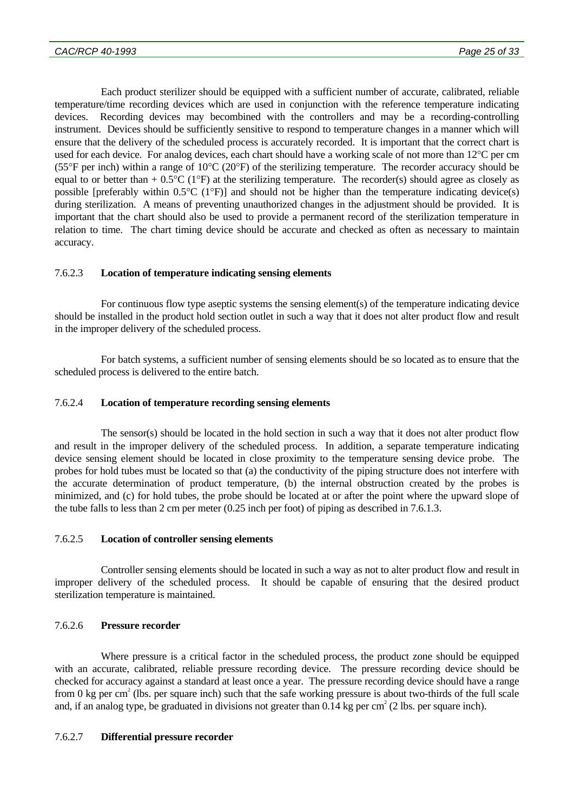Each product sterilizer should be equipped with a sufficient number of accurate, calibrated, reliable temperature/time recording devices which are used in conjunction with the reference temperature indicating devices. Recording devices may becombined with the controllers and may be a recording-controlling instrument. Devices should be sufficiently sensitive to respond to temperature changes in a manner which will ensure that the delivery of the scheduled process is accurately recorded. It is important that the correct chart is used for each device. For analog devices, each chart should have a working scale of not more than 12°C per cm (55°F per inch) within a range of  $10^{\circ}C$  (20°F) of the sterilizing temperature. The recorder accuracy should be equal to or better than  $+ 0.5^{\circ}C$  (1°F) at the sterilizing temperature. The recorder(s) should agree as closely as possible [preferably within  $0.5^{\circ}C$  (1<sup>o</sup>F)] and should not be higher than the temperature indicating device(s) during sterilization. A means of preventing unauthorized changes in the adjustment should be provided. It is important that the chart should also be used to provide a permanent record of the sterilization temperature in relation to time. The chart timing device should be accurate and checked as often as necessary to maintain accuracy.

## 7.6.2.3 **Location of temperature indicating sensing elements**

 For continuous flow type aseptic systems the sensing element(s) of the temperature indicating device should be installed in the product hold section outlet in such a way that it does not alter product flow and result in the improper delivery of the scheduled process.

 For batch systems, a sufficient number of sensing elements should be so located as to ensure that the scheduled process is delivered to the entire batch.

## 7.6.2.4 **Location of temperature recording sensing elements**

 The sensor(s) should be located in the hold section in such a way that it does not alter product flow and result in the improper delivery of the scheduled process. In addition, a separate temperature indicating device sensing element should be located in close proximity to the temperature sensing device probe. The probes for hold tubes must be located so that (a) the conductivity of the piping structure does not interfere with the accurate determination of product temperature, (b) the internal obstruction created by the probes is minimized, and (c) for hold tubes, the probe should be located at or after the point where the upward slope of the tube falls to less than 2 cm per meter (0.25 inch per foot) of piping as described in 7.6.1.3.

## 7.6.2.5 **Location of controller sensing elements**

 Controller sensing elements should be located in such a way as not to alter product flow and result in improper delivery of the scheduled process. It should be capable of ensuring that the desired product sterilization temperature is maintained.

## 7.6.2.6 **Pressure recorder**

 Where pressure is a critical factor in the scheduled process, the product zone should be equipped with an accurate, calibrated, reliable pressure recording device. The pressure recording device should be checked for accuracy against a standard at least once a year. The pressure recording device should have a range from 0 kg per cm<sup>2</sup> (lbs. per square inch) such that the safe working pressure is about two-thirds of the full scale and, if an analog type, be graduated in divisions not greater than  $0.14$  kg per cm<sup>2</sup> (2 lbs. per square inch).

## 7.6.2.7 **Differential pressure recorder**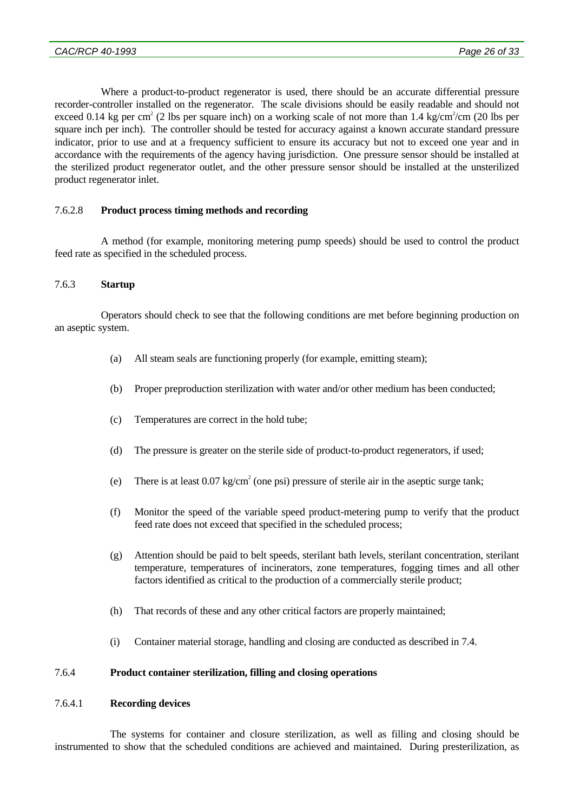Where a product-to-product regenerator is used, there should be an accurate differential pressure recorder-controller installed on the regenerator. The scale divisions should be easily readable and should not exceed 0.14 kg per cm<sup>2</sup> (2 lbs per square inch) on a working scale of not more than 1.4 kg/cm<sup>2</sup>/cm (20 lbs per square inch per inch). The controller should be tested for accuracy against a known accurate standard pressure indicator, prior to use and at a frequency sufficient to ensure its accuracy but not to exceed one year and in accordance with the requirements of the agency having jurisdiction. One pressure sensor should be installed at the sterilized product regenerator outlet, and the other pressure sensor should be installed at the unsterilized product regenerator inlet.

## 7.6.2.8 **Product process timing methods and recording**

 A method (for example, monitoring metering pump speeds) should be used to control the product feed rate as specified in the scheduled process.

## 7.6.3 **Startup**

 Operators should check to see that the following conditions are met before beginning production on an aseptic system.

- (a) All steam seals are functioning properly (for example, emitting steam);
- (b) Proper preproduction sterilization with water and/or other medium has been conducted;
- (c) Temperatures are correct in the hold tube;
- (d) The pressure is greater on the sterile side of product-to-product regenerators, if used;
- (e) There is at least  $0.07 \text{ kg/cm}^2$  (one psi) pressure of sterile air in the aseptic surge tank;
- (f) Monitor the speed of the variable speed product-metering pump to verify that the product feed rate does not exceed that specified in the scheduled process;
- (g) Attention should be paid to belt speeds, sterilant bath levels, sterilant concentration, sterilant temperature, temperatures of incinerators, zone temperatures, fogging times and all other factors identified as critical to the production of a commercially sterile product;
- (h) That records of these and any other critical factors are properly maintained;
- (i) Container material storage, handling and closing are conducted as described in 7.4.

## 7.6.4 **Product container sterilization, filling and closing operations**

## 7.6.4.1 **Recording devices**

 The systems for container and closure sterilization, as well as filling and closing should be instrumented to show that the scheduled conditions are achieved and maintained. During presterilization, as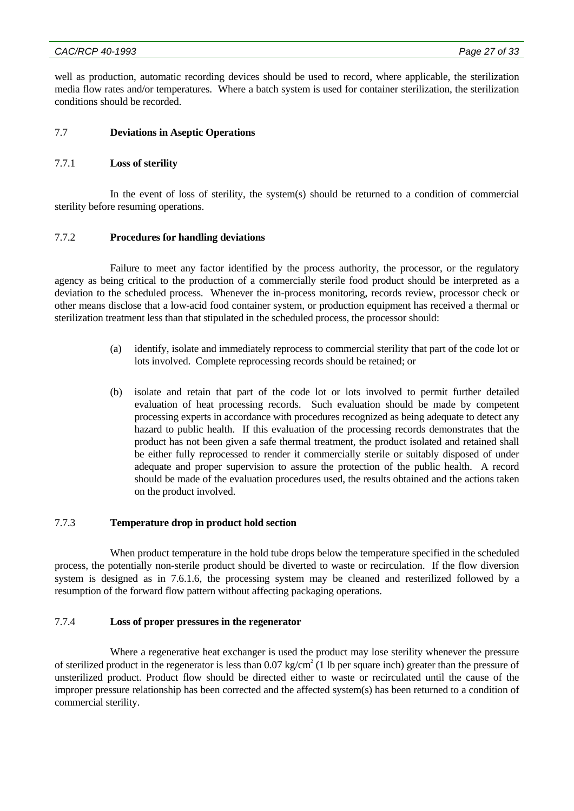#### *CAC/RCP 40-1993 Page 27 of 33*

well as production, automatic recording devices should be used to record, where applicable, the sterilization media flow rates and/or temperatures. Where a batch system is used for container sterilization, the sterilization conditions should be recorded.

## 7.7 **Deviations in Aseptic Operations**

## 7.7.1 **Loss of sterility**

 In the event of loss of sterility, the system(s) should be returned to a condition of commercial sterility before resuming operations.

## 7.7.2 **Procedures for handling deviations**

 Failure to meet any factor identified by the process authority, the processor, or the regulatory agency as being critical to the production of a commercially sterile food product should be interpreted as a deviation to the scheduled process. Whenever the in-process monitoring, records review, processor check or other means disclose that a low-acid food container system, or production equipment has received a thermal or sterilization treatment less than that stipulated in the scheduled process, the processor should:

- (a) identify, isolate and immediately reprocess to commercial sterility that part of the code lot or lots involved. Complete reprocessing records should be retained; or
- (b) isolate and retain that part of the code lot or lots involved to permit further detailed evaluation of heat processing records. Such evaluation should be made by competent processing experts in accordance with procedures recognized as being adequate to detect any hazard to public health. If this evaluation of the processing records demonstrates that the product has not been given a safe thermal treatment, the product isolated and retained shall be either fully reprocessed to render it commercially sterile or suitably disposed of under adequate and proper supervision to assure the protection of the public health. A record should be made of the evaluation procedures used, the results obtained and the actions taken on the product involved.

## 7.7.3 **Temperature drop in product hold section**

 When product temperature in the hold tube drops below the temperature specified in the scheduled process, the potentially non-sterile product should be diverted to waste or recirculation. If the flow diversion system is designed as in 7.6.1.6, the processing system may be cleaned and resterilized followed by a resumption of the forward flow pattern without affecting packaging operations.

## 7.7.4 **Loss of proper pressures in the regenerator**

 Where a regenerative heat exchanger is used the product may lose sterility whenever the pressure of sterilized product in the regenerator is less than  $0.07 \text{ kg/cm}^2$  (1 lb per square inch) greater than the pressure of unsterilized product. Product flow should be directed either to waste or recirculated until the cause of the improper pressure relationship has been corrected and the affected system(s) has been returned to a condition of commercial sterility.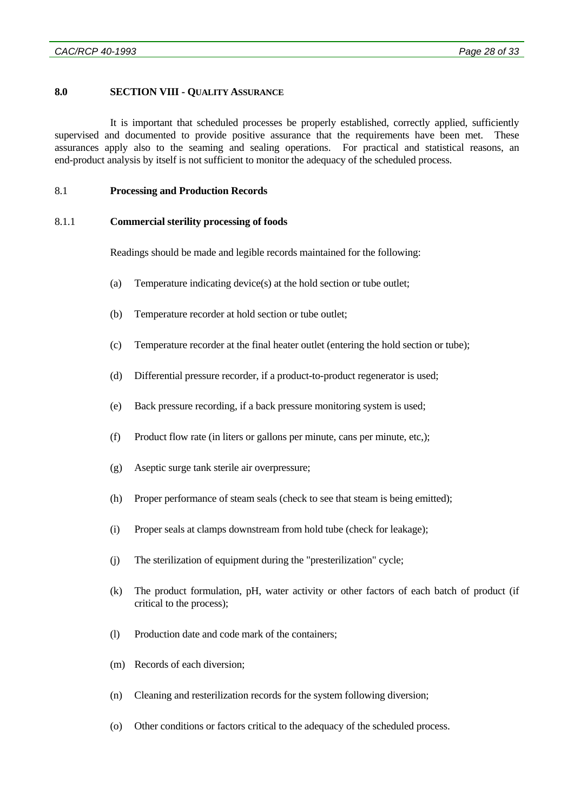## **8.0 SECTION VIII - QUALITY ASSURANCE**

 It is important that scheduled processes be properly established, correctly applied, sufficiently supervised and documented to provide positive assurance that the requirements have been met. These assurances apply also to the seaming and sealing operations. For practical and statistical reasons, an end-product analysis by itself is not sufficient to monitor the adequacy of the scheduled process.

#### 8.1 **Processing and Production Records**

#### 8.1.1 **Commercial sterility processing of foods**

Readings should be made and legible records maintained for the following:

- (a) Temperature indicating device(s) at the hold section or tube outlet;
- (b) Temperature recorder at hold section or tube outlet;
- (c) Temperature recorder at the final heater outlet (entering the hold section or tube);
- (d) Differential pressure recorder, if a product-to-product regenerator is used;
- (e) Back pressure recording, if a back pressure monitoring system is used;
- (f) Product flow rate (in liters or gallons per minute, cans per minute, etc,);
- (g) Aseptic surge tank sterile air overpressure;
- (h) Proper performance of steam seals (check to see that steam is being emitted);
- (i) Proper seals at clamps downstream from hold tube (check for leakage);
- (j) The sterilization of equipment during the "presterilization" cycle;
- (k) The product formulation, pH, water activity or other factors of each batch of product (if critical to the process);
- (l) Production date and code mark of the containers;
- (m) Records of each diversion;
- (n) Cleaning and resterilization records for the system following diversion;
- (o) Other conditions or factors critical to the adequacy of the scheduled process.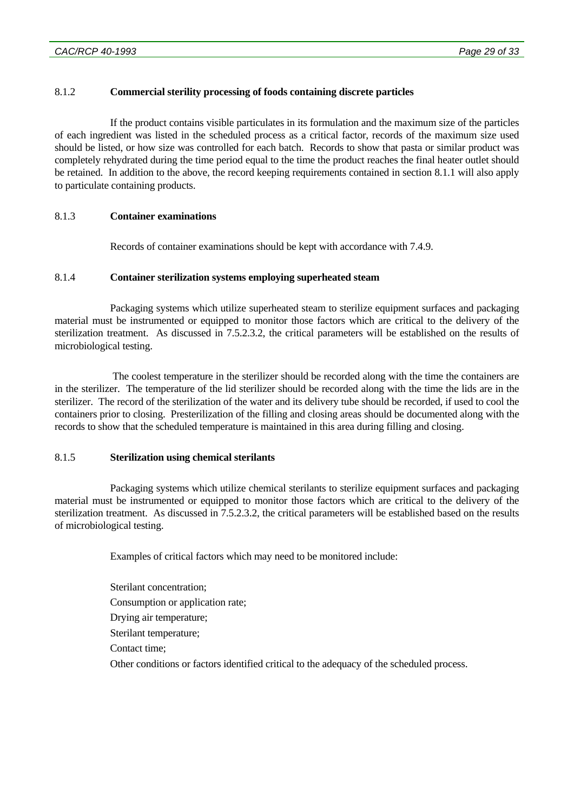## 8.1.2 **Commercial sterility processing of foods containing discrete particles**

 If the product contains visible particulates in its formulation and the maximum size of the particles of each ingredient was listed in the scheduled process as a critical factor, records of the maximum size used should be listed, or how size was controlled for each batch. Records to show that pasta or similar product was completely rehydrated during the time period equal to the time the product reaches the final heater outlet should be retained. In addition to the above, the record keeping requirements contained in section 8.1.1 will also apply to particulate containing products.

## 8.1.3 **Container examinations**

Records of container examinations should be kept with accordance with 7.4.9.

## 8.1.4 **Container sterilization systems employing superheated steam**

 Packaging systems which utilize superheated steam to sterilize equipment surfaces and packaging material must be instrumented or equipped to monitor those factors which are critical to the delivery of the sterilization treatment. As discussed in 7.5.2.3.2, the critical parameters will be established on the results of microbiological testing.

 The coolest temperature in the sterilizer should be recorded along with the time the containers are in the sterilizer. The temperature of the lid sterilizer should be recorded along with the time the lids are in the sterilizer. The record of the sterilization of the water and its delivery tube should be recorded, if used to cool the containers prior to closing. Presterilization of the filling and closing areas should be documented along with the records to show that the scheduled temperature is maintained in this area during filling and closing.

## 8.1.5 **Sterilization using chemical sterilants**

 Packaging systems which utilize chemical sterilants to sterilize equipment surfaces and packaging material must be instrumented or equipped to monitor those factors which are critical to the delivery of the sterilization treatment. As discussed in 7.5.2.3.2, the critical parameters will be established based on the results of microbiological testing.

Examples of critical factors which may need to be monitored include:

 Sterilant concentration; Consumption or application rate; Drying air temperature; Sterilant temperature; Contact time; Other conditions or factors identified critical to the adequacy of the scheduled process.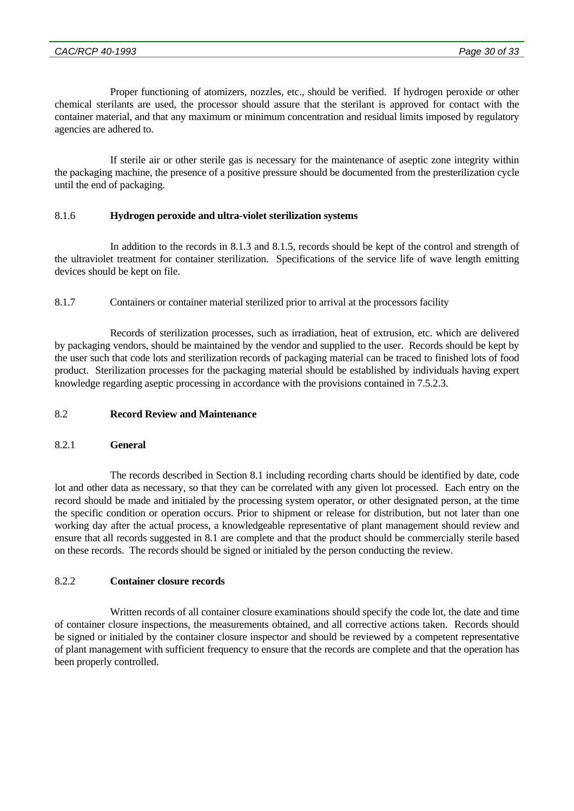Proper functioning of atomizers, nozzles, etc., should be verified. If hydrogen peroxide or other chemical sterilants are used, the processor should assure that the sterilant is approved for contact with the container material, and that any maximum or minimum concentration and residual limits imposed by regulatory agencies are adhered to.

 If sterile air or other sterile gas is necessary for the maintenance of aseptic zone integrity within the packaging machine, the presence of a positive pressure should be documented from the presterilization cycle until the end of packaging.

## 8.1.6 **Hydrogen peroxide and ultra-violet sterilization systems**

 In addition to the records in 8.1.3 and 8.1.5, records should be kept of the control and strength of the ultraviolet treatment for container sterilization. Specifications of the service life of wave length emitting devices should be kept on file.

8.1.7 Containers or container material sterilized prior to arrival at the processors facility

 Records of sterilization processes, such as irradiation, heat of extrusion, etc. which are delivered by packaging vendors, should be maintained by the vendor and supplied to the user. Records should be kept by the user such that code lots and sterilization records of packaging material can be traced to finished lots of food product. Sterilization processes for the packaging material should be established by individuals having expert knowledge regarding aseptic processing in accordance with the provisions contained in 7.5.2.3.

## 8.2 **Record Review and Maintenance**

## 8.2.1 **General**

 The records described in Section 8.1 including recording charts should be identified by date, code lot and other data as necessary, so that they can be correlated with any given lot processed. Each entry on the record should be made and initialed by the processing system operator, or other designated person, at the time the specific condition or operation occurs. Prior to shipment or release for distribution, but not later than one working day after the actual process, a knowledgeable representative of plant management should review and ensure that all records suggested in 8.1 are complete and that the product should be commercially sterile based on these records. The records should be signed or initialed by the person conducting the review.

## 8.2.2 **Container closure records**

 Written records of all container closure examinations should specify the code lot, the date and time of container closure inspections, the measurements obtained, and all corrective actions taken. Records should be signed or initialed by the container closure inspector and should be reviewed by a competent representative of plant management with sufficient frequency to ensure that the records are complete and that the operation has been properly controlled.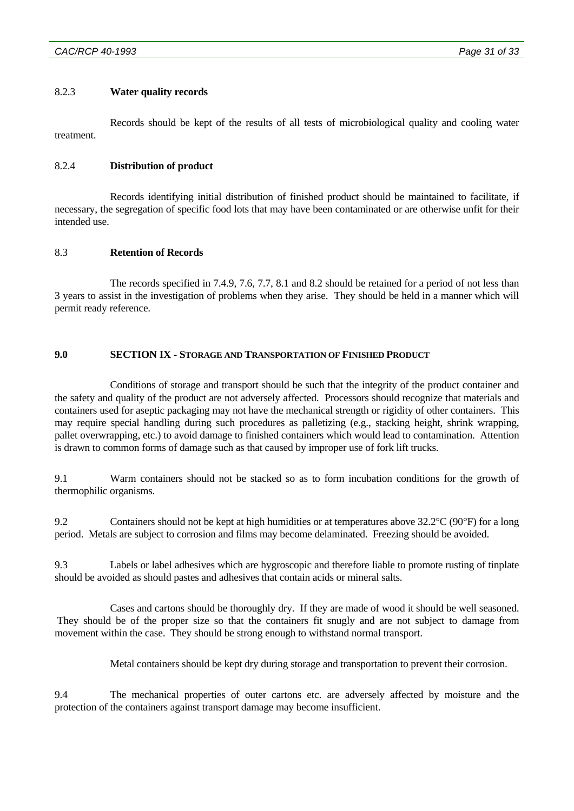### 8.2.3 **Water quality records**

 Records should be kept of the results of all tests of microbiological quality and cooling water treatment.

## 8.2.4 **Distribution of product**

 Records identifying initial distribution of finished product should be maintained to facilitate, if necessary, the segregation of specific food lots that may have been contaminated or are otherwise unfit for their intended use.

### 8.3 **Retention of Records**

 The records specified in 7.4.9, 7.6, 7.7, 8.1 and 8.2 should be retained for a period of not less than 3 years to assist in the investigation of problems when they arise. They should be held in a manner which will permit ready reference.

### **9.0 SECTION IX - STORAGE AND TRANSPORTATION OF FINISHED PRODUCT**

 Conditions of storage and transport should be such that the integrity of the product container and the safety and quality of the product are not adversely affected. Processors should recognize that materials and containers used for aseptic packaging may not have the mechanical strength or rigidity of other containers. This may require special handling during such procedures as palletizing (e.g., stacking height, shrink wrapping, pallet overwrapping, etc.) to avoid damage to finished containers which would lead to contamination. Attention is drawn to common forms of damage such as that caused by improper use of fork lift trucks.

9.1 Warm containers should not be stacked so as to form incubation conditions for the growth of thermophilic organisms.

9.2 Containers should not be kept at high humidities or at temperatures above  $32.2^{\circ}C$  (90°F) for a long period. Metals are subject to corrosion and films may become delaminated. Freezing should be avoided.

9.3 Labels or label adhesives which are hygroscopic and therefore liable to promote rusting of tinplate should be avoided as should pastes and adhesives that contain acids or mineral salts.

 Cases and cartons should be thoroughly dry. If they are made of wood it should be well seasoned. They should be of the proper size so that the containers fit snugly and are not subject to damage from movement within the case. They should be strong enough to withstand normal transport.

Metal containers should be kept dry during storage and transportation to prevent their corrosion.

9.4 The mechanical properties of outer cartons etc. are adversely affected by moisture and the protection of the containers against transport damage may become insufficient.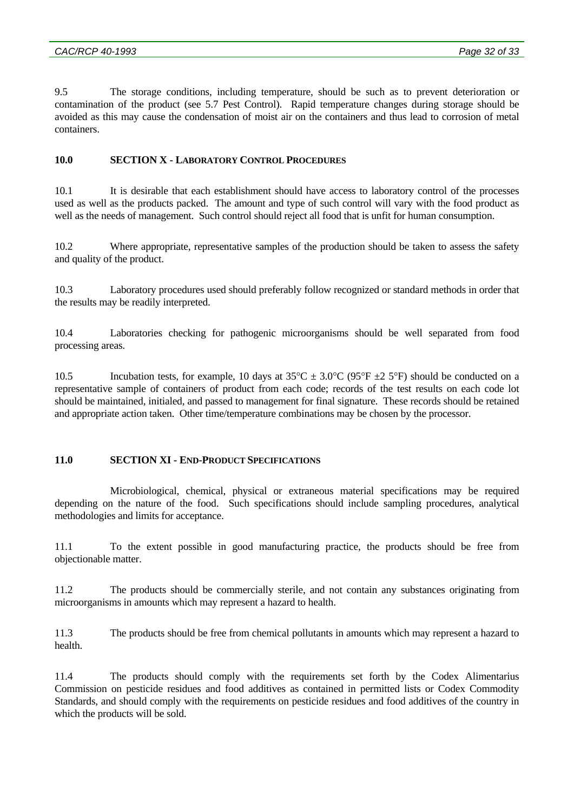9.5 The storage conditions, including temperature, should be such as to prevent deterioration or contamination of the product (see 5.7 Pest Control). Rapid temperature changes during storage should be avoided as this may cause the condensation of moist air on the containers and thus lead to corrosion of metal containers.

## **10.0 SECTION X - LABORATORY CONTROL PROCEDURES**

10.1 It is desirable that each establishment should have access to laboratory control of the processes used as well as the products packed. The amount and type of such control will vary with the food product as well as the needs of management. Such control should reject all food that is unfit for human consumption.

10.2 Where appropriate, representative samples of the production should be taken to assess the safety and quality of the product.

10.3 Laboratory procedures used should preferably follow recognized or standard methods in order that the results may be readily interpreted.

10.4 Laboratories checking for pathogenic microorganisms should be well separated from food processing areas.

10.5 Incubation tests, for example, 10 days at  $35^{\circ}$ C  $\pm$  3.0°C (95°F  $\pm$ 2 5°F) should be conducted on a representative sample of containers of product from each code; records of the test results on each code lot should be maintained, initialed, and passed to management for final signature. These records should be retained and appropriate action taken. Other time/temperature combinations may be chosen by the processor.

## **11.0 SECTION XI - END-PRODUCT SPECIFICATIONS**

 Microbiological, chemical, physical or extraneous material specifications may be required depending on the nature of the food. Such specifications should include sampling procedures, analytical methodologies and limits for acceptance.

11.1 To the extent possible in good manufacturing practice, the products should be free from objectionable matter.

11.2 The products should be commercially sterile, and not contain any substances originating from microorganisms in amounts which may represent a hazard to health.

11.3 The products should be free from chemical pollutants in amounts which may represent a hazard to health.

11.4 The products should comply with the requirements set forth by the Codex Alimentarius Commission on pesticide residues and food additives as contained in permitted lists or Codex Commodity Standards, and should comply with the requirements on pesticide residues and food additives of the country in which the products will be sold.